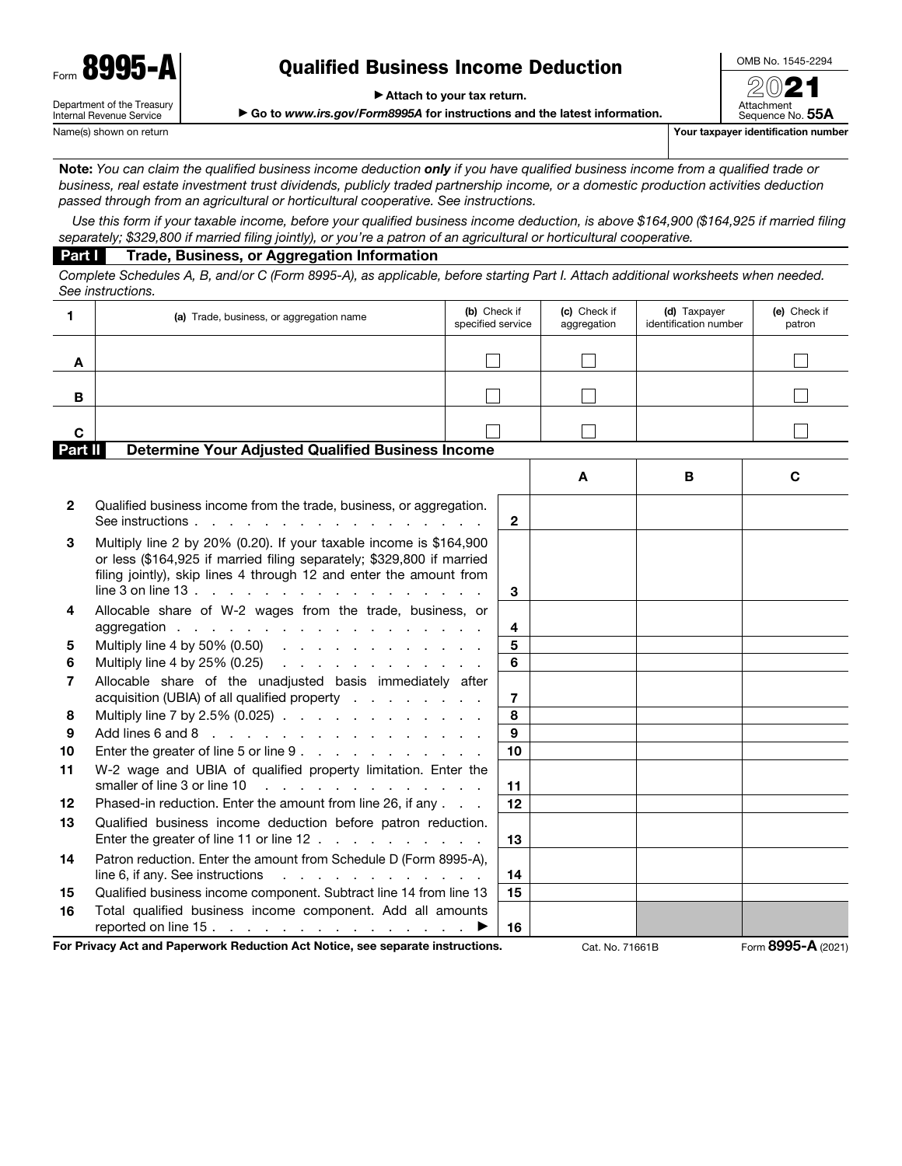| Form | -0<br>٧.                                                      |
|------|---------------------------------------------------------------|
|      | Department of the Treasury<br><b>Internal Revenue Service</b> |

# Qualified Business Income Deduction

▶ Attach to your tax return.

▶ Go to *www.irs.gov/Form8995A* for instructions and the latest information.

OMB No. 1545-2294 20

Attachment Sequence No. 55A Name(s) shown on return **Your taxpayer identification number**  $Y$ our taxpayer identification number

Note: *You can claim the qualified business income deduction only if you have qualified business income from a qualified trade or business, real estate investment trust dividends, publicly traded partnership income, or a domestic production activities deduction passed through from an agricultural or horticultural cooperative. See instructions.*

*Use this form if your taxable income, before your qualified business income deduction, is above \$164,900 (\$164,925 if married filing separately; \$329,800 if married filing jointly), or you're a patron of an agricultural or horticultural cooperative.*

#### Part I Trade, Business, or Aggregation Information

*Complete Schedules A, B, and/or C (Form 8995-A), as applicable, before starting Part I. Attach additional worksheets when needed. See instructions.*

| 1                                                                   | (a) Trade, business, or aggregation name                                                                                                                                                                                                                                                                                |  | (b) Check if<br>specified service | (c) Check if<br>aggregation | (d) Taxpayer<br>identification number | (e) Check if<br>patron |  |  |  |  |
|---------------------------------------------------------------------|-------------------------------------------------------------------------------------------------------------------------------------------------------------------------------------------------------------------------------------------------------------------------------------------------------------------------|--|-----------------------------------|-----------------------------|---------------------------------------|------------------------|--|--|--|--|
| A                                                                   |                                                                                                                                                                                                                                                                                                                         |  |                                   |                             |                                       |                        |  |  |  |  |
| в                                                                   |                                                                                                                                                                                                                                                                                                                         |  |                                   |                             |                                       |                        |  |  |  |  |
| C                                                                   |                                                                                                                                                                                                                                                                                                                         |  |                                   |                             |                                       |                        |  |  |  |  |
| Part II<br><b>Determine Your Adjusted Qualified Business Income</b> |                                                                                                                                                                                                                                                                                                                         |  |                                   |                             |                                       |                        |  |  |  |  |
|                                                                     |                                                                                                                                                                                                                                                                                                                         |  |                                   | A                           | B                                     | C                      |  |  |  |  |
| 2                                                                   | Qualified business income from the trade, business, or aggregation.<br>See instructions.<br>the contract of the contract of the contract of                                                                                                                                                                             |  | $\mathbf{2}$                      |                             |                                       |                        |  |  |  |  |
| 3                                                                   | Multiply line 2 by 20% (0.20). If your taxable income is \$164,900<br>or less (\$164,925 if married filing separately; \$329,800 if married<br>filing jointly), skip lines 4 through 12 and enter the amount from<br>line 3 on line 13 $\ldots$ $\ldots$ $\ldots$ $\ldots$ $\ldots$ $\ldots$ $\ldots$ $\ldots$ $\ldots$ |  | 3                                 |                             |                                       |                        |  |  |  |  |
| 4                                                                   | Allocable share of W-2 wages from the trade, business, or<br>aggregation                                                                                                                                                                                                                                                |  | 4                                 |                             |                                       |                        |  |  |  |  |
| 5                                                                   | Multiply line 4 by 50% (0.50)                                                                                                                                                                                                                                                                                           |  | 5                                 |                             |                                       |                        |  |  |  |  |
| 6                                                                   | Multiply line 4 by 25% (0.25) $\ldots$ $\ldots$ $\ldots$ $\ldots$ $\ldots$ $\ldots$                                                                                                                                                                                                                                     |  | 6                                 |                             |                                       |                        |  |  |  |  |
| 7                                                                   | Allocable share of the unadjusted basis immediately after<br>acquisition (UBIA) of all qualified property                                                                                                                                                                                                               |  | $\overline{7}$                    |                             |                                       |                        |  |  |  |  |
| 8                                                                   | Multiply line 7 by 2.5% (0.025)                                                                                                                                                                                                                                                                                         |  | 8                                 |                             |                                       |                        |  |  |  |  |
| 9                                                                   | Add lines $6$ and $8$                                                                                                                                                                                                                                                                                                   |  | 9                                 |                             |                                       |                        |  |  |  |  |
| 10                                                                  | Enter the greater of line 5 or line 9                                                                                                                                                                                                                                                                                   |  | 10                                |                             |                                       |                        |  |  |  |  |
| 11                                                                  | W-2 wage and UBIA of qualified property limitation. Enter the                                                                                                                                                                                                                                                           |  |                                   |                             |                                       |                        |  |  |  |  |
|                                                                     | smaller of line 3 or line 10<br>and the contract of the contract of the                                                                                                                                                                                                                                                 |  | 11                                |                             |                                       |                        |  |  |  |  |
| $12 \,$                                                             | Phased-in reduction. Enter the amount from line 26, if any                                                                                                                                                                                                                                                              |  | 12                                |                             |                                       |                        |  |  |  |  |
| 13                                                                  | Qualified business income deduction before patron reduction.<br>Enter the greater of line 11 or line 12                                                                                                                                                                                                                 |  | 13                                |                             |                                       |                        |  |  |  |  |
| 14                                                                  | Patron reduction. Enter the amount from Schedule D (Form 8995-A),<br>line 6, if any. See instructions<br>$\mathcal{A}$ . The second contribution of the second contribution $\mathcal{A}$                                                                                                                               |  | 14                                |                             |                                       |                        |  |  |  |  |
| 15                                                                  | Qualified business income component. Subtract line 14 from line 13                                                                                                                                                                                                                                                      |  | 15                                |                             |                                       |                        |  |  |  |  |
| 16                                                                  | Total qualified business income component. Add all amounts                                                                                                                                                                                                                                                              |  |                                   |                             |                                       |                        |  |  |  |  |
|                                                                     | reported on line 15.                                                                                                                                                                                                                                                                                                    |  | 16                                |                             |                                       |                        |  |  |  |  |
|                                                                     | For Privacy Act and Paperwork Reduction Act Notice, see separate instructions.                                                                                                                                                                                                                                          |  |                                   | Cat. No. 71661B             |                                       | Form 8995-A (2021)     |  |  |  |  |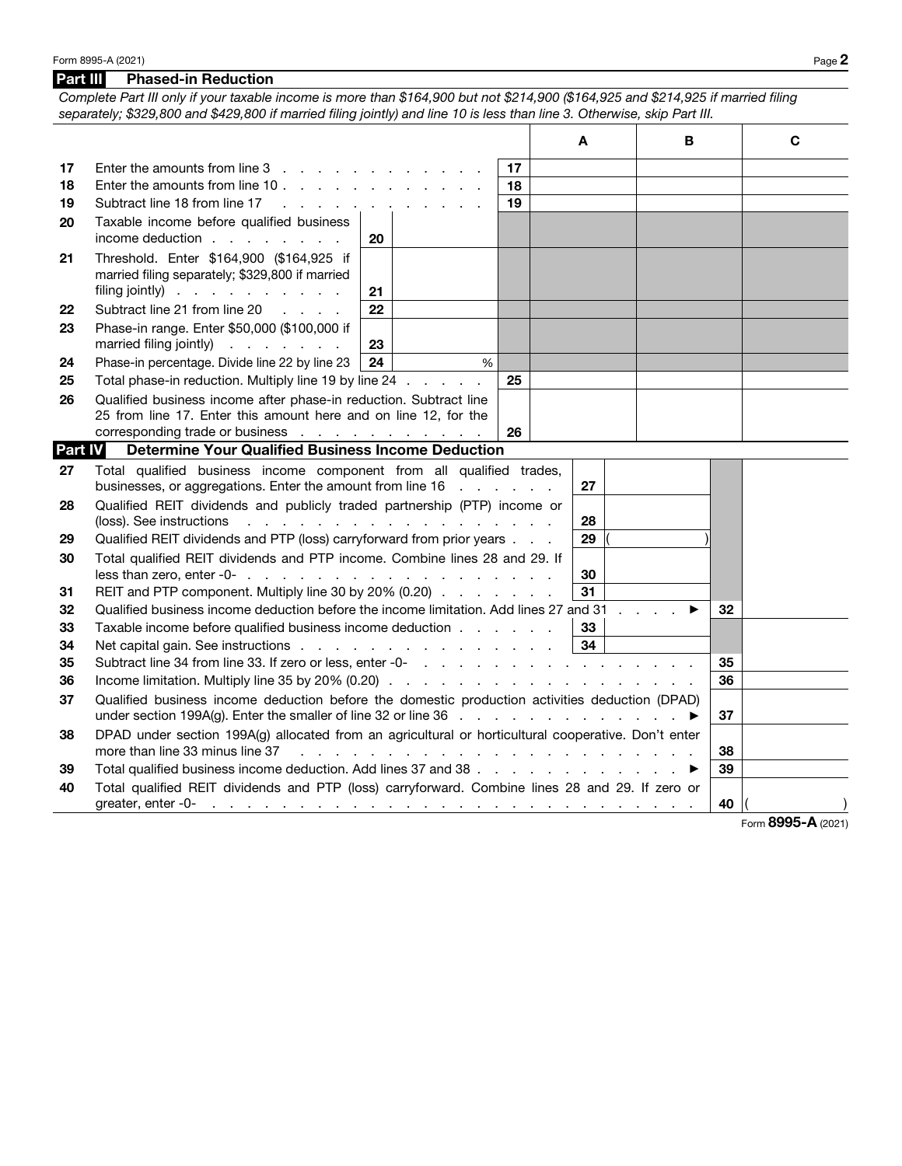*Complete Part III only if your taxable income is more than \$164,900 but not \$214,900 (\$164,925 and \$214,925 if married filing separately; \$329,800 and \$429,800 if married filing jointly) and line 10 is less than line 3. Otherwise, skip Part III.* Τ

|         |                                                                                                              |    |   |    | Α  |  | в |    | C                  |
|---------|--------------------------------------------------------------------------------------------------------------|----|---|----|----|--|---|----|--------------------|
| 17      |                                                                                                              |    |   | 17 |    |  |   |    |                    |
| 18      | Enter the amounts from line 10.                                                                              |    |   | 18 |    |  |   |    |                    |
| 19      | Subtract line 18 from line 17                                                                                |    |   | 19 |    |  |   |    |                    |
| 20      | Taxable income before qualified business                                                                     |    |   |    |    |  |   |    |                    |
|         | income deduction                                                                                             | 20 |   |    |    |  |   |    |                    |
| 21      | Threshold. Enter \$164,900 (\$164,925 if                                                                     |    |   |    |    |  |   |    |                    |
|         | married filing separately; \$329,800 if married                                                              |    |   |    |    |  |   |    |                    |
|         | filing jointly) $\cdots$ $\cdots$ $\cdots$                                                                   | 21 |   |    |    |  |   |    |                    |
| 22      | Subtract line 21 from line 20                                                                                | 22 |   |    |    |  |   |    |                    |
| 23      | Phase-in range. Enter \$50,000 (\$100,000 if                                                                 |    |   |    |    |  |   |    |                    |
|         | married filing jointly)                                                                                      | 23 |   |    |    |  |   |    |                    |
| 24      | Phase-in percentage. Divide line 22 by line 23                                                               | 24 | % |    |    |  |   |    |                    |
| 25      | Total phase-in reduction. Multiply line 19 by line 24                                                        |    |   | 25 |    |  |   |    |                    |
| 26      | Qualified business income after phase-in reduction. Subtract line                                            |    |   |    |    |  |   |    |                    |
|         | 25 from line 17. Enter this amount here and on line 12, for the                                              |    |   |    |    |  |   |    |                    |
| Part IV | corresponding trade or business<br><b>Determine Your Qualified Business Income Deduction</b>                 |    |   | 26 |    |  |   |    |                    |
|         |                                                                                                              |    |   |    |    |  |   |    |                    |
| 27      | Total qualified business income component from all qualified trades,                                         |    |   |    | 27 |  |   |    |                    |
|         | businesses, or aggregations. Enter the amount from line 16                                                   |    |   |    |    |  |   |    |                    |
| 28      | Qualified REIT dividends and publicly traded partnership (PTP) income or                                     |    |   |    | 28 |  |   |    |                    |
| 29      | Qualified REIT dividends and PTP (loss) carryforward from prior years                                        |    |   |    | 29 |  |   |    |                    |
| 30      | Total qualified REIT dividends and PTP income. Combine lines 28 and 29. If                                   |    |   |    |    |  |   |    |                    |
|         | less than zero, enter $-0$ - $\ldots$ $\ldots$ $\ldots$ $\ldots$ $\ldots$ $\ldots$ $\ldots$ $\ldots$         |    |   |    | 30 |  |   |    |                    |
| 31      | REIT and PTP component. Multiply line 30 by 20% (0.20)                                                       |    |   |    | 31 |  |   |    |                    |
| 32      | Qualified business income deduction before the income limitation. Add lines 27 and 31                        |    |   |    |    |  |   | 32 |                    |
| 33      | Taxable income before qualified business income deduction                                                    |    |   |    | 33 |  |   |    |                    |
| 34      | Net capital gain. See instructions                                                                           |    |   |    | 34 |  |   |    |                    |
| 35      |                                                                                                              |    |   |    |    |  |   |    |                    |
| 36      |                                                                                                              |    |   |    |    |  |   |    |                    |
| 37      | Qualified business income deduction before the domestic production activities deduction (DPAD)               |    |   |    |    |  |   |    |                    |
|         |                                                                                                              |    |   |    |    |  |   | 37 |                    |
| 38      | DPAD under section 199A(g) allocated from an agricultural or horticultural cooperative. Don't enter          |    |   |    |    |  |   |    |                    |
|         | more than line 33 minus line 37                                                                              |    |   |    |    |  |   | 38 |                    |
| 39      | Total qualified business income deduction. Add lines 37 and 38 ▶                                             |    |   |    |    |  |   | 39 |                    |
| 40      | Total qualified REIT dividends and PTP (loss) carryforward. Combine lines 28 and 29. If zero or              |    |   |    |    |  |   |    |                    |
|         | greater, enter -0-<br><u>The second contract of the second contract of the second contract of the second</u> |    |   |    |    |  |   | 40 |                    |
|         |                                                                                                              |    |   |    |    |  |   |    | Form 8995-A (2021) |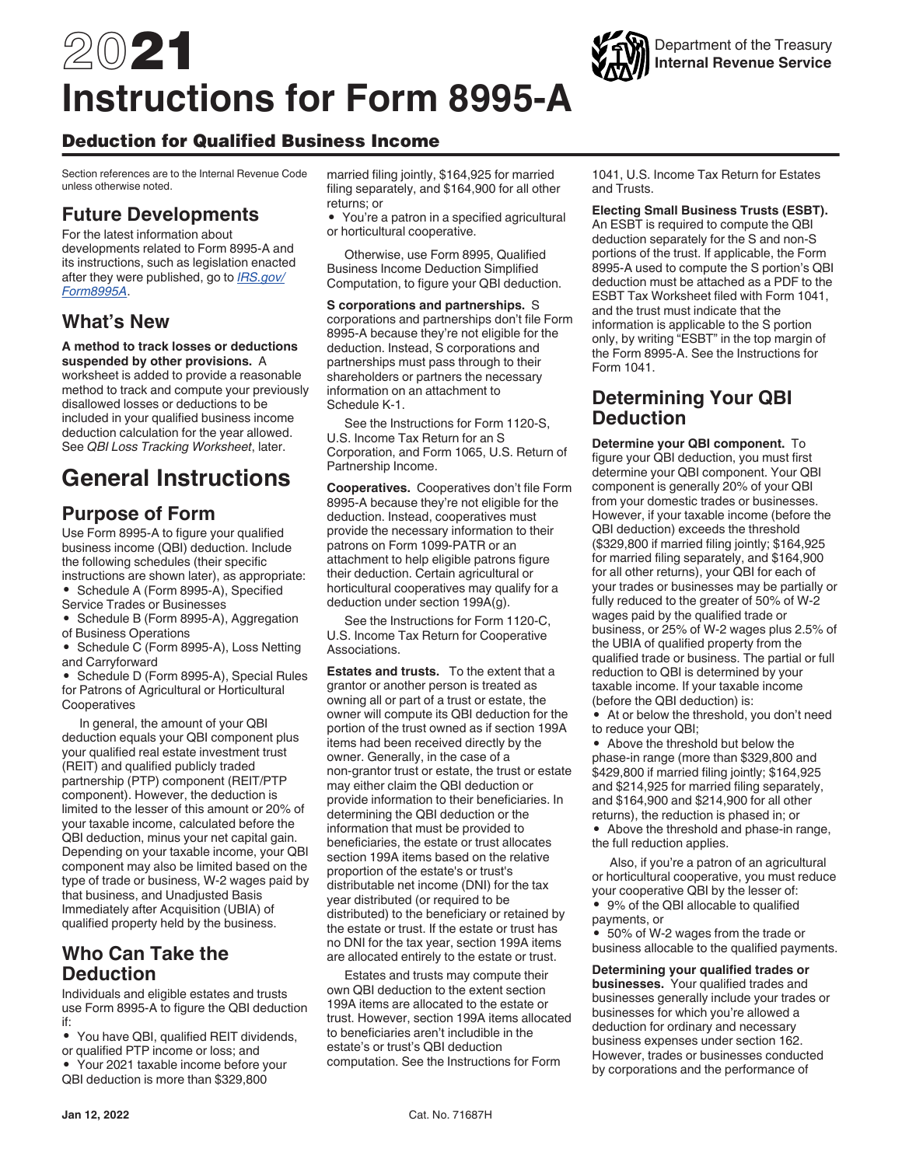# 2021 **Instructions for Form 8995-A**

## Deduction for Qualified Business Income

Section references are to the Internal Revenue Code unless otherwise noted.

## **Future Developments**

For the latest information about developments related to Form 8995-A and its instructions, such as legislation enacted after they were published, go to *[IRS.gov/](https://www.irs.gov/form8995A) [Form8995A](https://www.irs.gov/form8995A)*.

# **What's New**

**A method to track losses or deductions suspended by other provisions.** A worksheet is added to provide a reasonable method to track and compute your previously

disallowed losses or deductions to be included in your qualified business income deduction calculation for the year allowed. See *QBI Loss Tracking Worksheet*, later.

# **General Instructions**

# **Purpose of Form**

Use Form 8995-A to figure your qualified business income (QBI) deduction. Include the following schedules (their specific instructions are shown later), as appropriate:

• Schedule A (Form 8995-A), Specified Service Trades or Businesses

• Schedule B (Form 8995-A), Aggregation of Business Operations

• Schedule C (Form 8995-A), Loss Netting and Carryforward

• Schedule D (Form 8995-A), Special Rules for Patrons of Agricultural or Horticultural **Cooperatives** 

In general, the amount of your QBI deduction equals your QBI component plus your qualified real estate investment trust (REIT) and qualified publicly traded partnership (PTP) component (REIT/PTP component). However, the deduction is limited to the lesser of this amount or 20% of your taxable income, calculated before the QBI deduction, minus your net capital gain. Depending on your taxable income, your QBI component may also be limited based on the type of trade or business, W-2 wages paid by that business, and Unadjusted Basis Immediately after Acquisition (UBIA) of qualified property held by the business.

# **Who Can Take the Deduction**

Individuals and eligible estates and trusts use Form 8995-A to figure the QBI deduction if:

- You have QBI, qualified REIT dividends,
- or qualified PTP income or loss; and

• Your 2021 taxable income before your QBI deduction is more than \$329,800

married filing jointly, \$164,925 for married filing separately, and \$164,900 for all other returns; or

• You're a patron in a specified agricultural or horticultural cooperative.

Otherwise, use Form 8995, Qualified Business Income Deduction Simplified Computation, to figure your QBI deduction.

**S corporations and partnerships.** S corporations and partnerships don't file Form 8995-A because they're not eligible for the deduction. Instead, S corporations and partnerships must pass through to their shareholders or partners the necessary information on an attachment to Schedule K-1.

See the Instructions for Form 1120-S, U.S. Income Tax Return for an S Corporation, and Form 1065, U.S. Return of Partnership Income.

**Cooperatives.** Cooperatives don't file Form 8995-A because they're not eligible for the deduction. Instead, cooperatives must provide the necessary information to their patrons on Form 1099-PATR or an attachment to help eligible patrons figure their deduction. Certain agricultural or horticultural cooperatives may qualify for a deduction under section 199A(g).

See the Instructions for Form 1120-C, U.S. Income Tax Return for Cooperative Associations.

**Estates and trusts.** To the extent that a grantor or another person is treated as owning all or part of a trust or estate, the owner will compute its QBI deduction for the portion of the trust owned as if section 199A items had been received directly by the owner. Generally, in the case of a non-grantor trust or estate, the trust or estate may either claim the QBI deduction or provide information to their beneficiaries. In determining the QBI deduction or the information that must be provided to beneficiaries, the estate or trust allocates section 199A items based on the relative proportion of the estate's or trust's distributable net income (DNI) for the tax year distributed (or required to be distributed) to the beneficiary or retained by the estate or trust. If the estate or trust has no DNI for the tax year, section 199A items are allocated entirely to the estate or trust.

Estates and trusts may compute their own QBI deduction to the extent section 199A items are allocated to the estate or trust. However, section 199A items allocated to beneficiaries aren't includible in the estate's or trust's QBI deduction computation. See the Instructions for Form

1041, U.S. Income Tax Return for Estates and Trusts.

**Electing Small Business Trusts (ESBT).**  An ESBT is required to compute the QBI deduction separately for the S and non-S portions of the trust. If applicable, the Form 8995-A used to compute the S portion's QBI deduction must be attached as a PDF to the ESBT Tax Worksheet filed with Form 1041, and the trust must indicate that the information is applicable to the S portion only, by writing "ESBT" in the top margin of the Form 8995-A. See the Instructions for Form 1041.

# **Determining Your QBI Deduction**

**Determine your QBI component.** To figure your QBI deduction, you must first determine your QBI component. Your QBI component is generally 20% of your QBI from your domestic trades or businesses. However, if your taxable income (before the QBI deduction) exceeds the threshold (\$329,800 if married filing jointly; \$164,925 for married filing separately, and \$164,900 for all other returns), your QBI for each of your trades or businesses may be partially or fully reduced to the greater of 50% of W-2 wages paid by the qualified trade or business, or 25% of W-2 wages plus 2.5% of the UBIA of qualified property from the qualified trade or business. The partial or full reduction to QBI is determined by your taxable income. If your taxable income (before the QBI deduction) is:

• At or below the threshold, you don't need to reduce your QBI;

• Above the threshold but below the phase-in range (more than \$329,800 and \$429,800 if married filing jointly; \$164,925 and \$214,925 for married filing separately, and \$164,900 and \$214,900 for all other returns), the reduction is phased in; or • Above the threshold and phase-in range, the full reduction applies.

Also, if you're a patron of an agricultural or horticultural cooperative, you must reduce your cooperative QBI by the lesser of:

• 9% of the QBI allocable to qualified payments, or

• 50% of W-2 wages from the trade or business allocable to the qualified payments.

**Determining your qualified trades or businesses.** Your qualified trades and businesses generally include your trades or businesses for which you're allowed a deduction for ordinary and necessary business expenses under section 162. However, trades or businesses conducted by corporations and the performance of

# Department of the Treasury **Internal Revenue Service**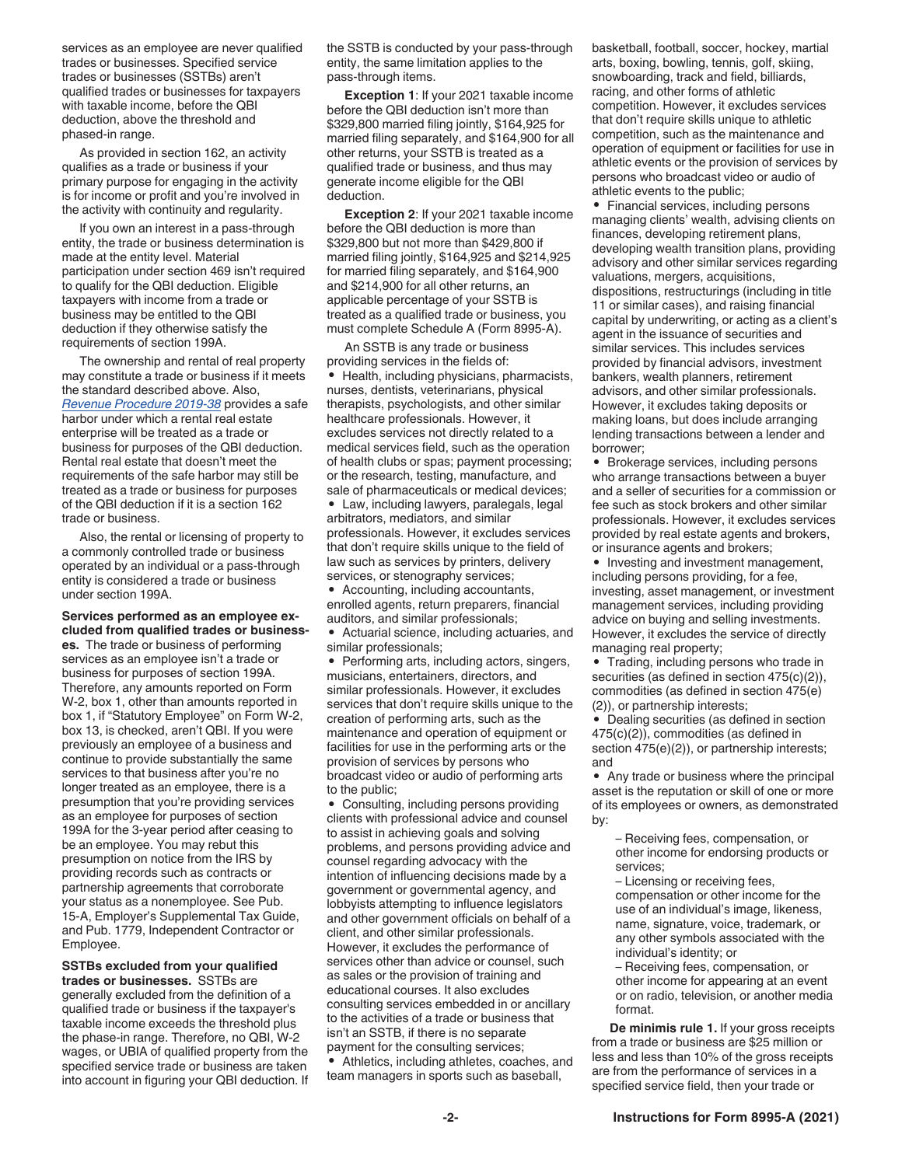services as an employee are never qualified trades or businesses. Specified service trades or businesses (SSTBs) aren't qualified trades or businesses for taxpayers with taxable income, before the QBI deduction, above the threshold and phased-in range.

As provided in section 162, an activity qualifies as a trade or business if your primary purpose for engaging in the activity is for income or profit and you're involved in the activity with continuity and regularity.

If you own an interest in a pass-through entity, the trade or business determination is made at the entity level. Material participation under section 469 isn't required to qualify for the QBI deduction. Eligible taxpayers with income from a trade or business may be entitled to the QBI deduction if they otherwise satisfy the requirements of section 199A.

The ownership and rental of real property may constitute a trade or business if it meets the standard described above. Also, *[Revenue Procedure 2019-38](https://www.irs.gov/pub/irs-drop/rp-19-38.pdf)* provides a safe harbor under which a rental real estate enterprise will be treated as a trade or business for purposes of the QBI deduction. Rental real estate that doesn't meet the requirements of the safe harbor may still be treated as a trade or business for purposes of the QBI deduction if it is a section 162 trade or business.

Also, the rental or licensing of property to a commonly controlled trade or business operated by an individual or a pass-through entity is considered a trade or business under section 199A.

#### **Services performed as an employee excluded from qualified trades or business-**

**es.** The trade or business of performing services as an employee isn't a trade or business for purposes of section 199A. Therefore, any amounts reported on Form W-2, box 1, other than amounts reported in box 1, if "Statutory Employee" on Form W-2, box 13, is checked, aren't QBI. If you were previously an employee of a business and continue to provide substantially the same services to that business after you're no longer treated as an employee, there is a presumption that you're providing services as an employee for purposes of section 199A for the 3-year period after ceasing to be an employee. You may rebut this presumption on notice from the IRS by providing records such as contracts or partnership agreements that corroborate your status as a nonemployee. See Pub. 15-A, Employer's Supplemental Tax Guide, and Pub. 1779, Independent Contractor or Employee.

**SSTBs excluded from your qualified trades or businesses.** SSTBs are generally excluded from the definition of a qualified trade or business if the taxpayer's taxable income exceeds the threshold plus the phase-in range. Therefore, no QBI, W-2 wages, or UBIA of qualified property from the specified service trade or business are taken into account in figuring your QBI deduction. If the SSTB is conducted by your pass-through entity, the same limitation applies to the pass-through items.

**Exception 1**: If your 2021 taxable income before the QBI deduction isn't more than \$329,800 married filing jointly, \$164,925 for married filing separately, and \$164,900 for all other returns, your SSTB is treated as a qualified trade or business, and thus may generate income eligible for the QBI deduction.

**Exception 2**: If your 2021 taxable income before the QBI deduction is more than \$329,800 but not more than \$429,800 if married filing jointly, \$164,925 and \$214,925 for married filing separately, and \$164,900 and \$214,900 for all other returns, an applicable percentage of your SSTB is treated as a qualified trade or business, you must complete Schedule A (Form 8995-A).

An SSTB is any trade or business providing services in the fields of: • Health, including physicians, pharmacists, nurses, dentists, veterinarians, physical therapists, psychologists, and other similar healthcare professionals. However, it excludes services not directly related to a medical services field, such as the operation of health clubs or spas; payment processing; or the research, testing, manufacture, and sale of pharmaceuticals or medical devices;

• Law, including lawyers, paralegals, legal arbitrators, mediators, and similar professionals. However, it excludes services that don't require skills unique to the field of law such as services by printers, delivery services, or stenography services;

• Accounting, including accountants, enrolled agents, return preparers, financial auditors, and similar professionals; • Actuarial science, including actuaries, and

similar professionals;

• Performing arts, including actors, singers, musicians, entertainers, directors, and similar professionals. However, it excludes services that don't require skills unique to the creation of performing arts, such as the maintenance and operation of equipment or facilities for use in the performing arts or the provision of services by persons who broadcast video or audio of performing arts to the public;

• Consulting, including persons providing clients with professional advice and counsel to assist in achieving goals and solving problems, and persons providing advice and counsel regarding advocacy with the intention of influencing decisions made by a government or governmental agency, and lobbyists attempting to influence legislators and other government officials on behalf of a client, and other similar professionals. However, it excludes the performance of services other than advice or counsel, such as sales or the provision of training and educational courses. It also excludes consulting services embedded in or ancillary to the activities of a trade or business that isn't an SSTB, if there is no separate payment for the consulting services;

• Athletics, including athletes, coaches, and team managers in sports such as baseball,

basketball, football, soccer, hockey, martial arts, boxing, bowling, tennis, golf, skiing, snowboarding, track and field, billiards, racing, and other forms of athletic competition. However, it excludes services that don't require skills unique to athletic competition, such as the maintenance and operation of equipment or facilities for use in athletic events or the provision of services by persons who broadcast video or audio of athletic events to the public;

• Financial services, including persons managing clients' wealth, advising clients on finances, developing retirement plans, developing wealth transition plans, providing advisory and other similar services regarding valuations, mergers, acquisitions, dispositions, restructurings (including in title 11 or similar cases), and raising financial capital by underwriting, or acting as a client's agent in the issuance of securities and similar services. This includes services provided by financial advisors, investment bankers, wealth planners, retirement advisors, and other similar professionals. However, it excludes taking deposits or making loans, but does include arranging lending transactions between a lender and borrower;

• Brokerage services, including persons who arrange transactions between a buyer and a seller of securities for a commission or fee such as stock brokers and other similar professionals. However, it excludes services provided by real estate agents and brokers, or insurance agents and brokers;

• Investing and investment management, including persons providing, for a fee, investing, asset management, or investment management services, including providing advice on buying and selling investments. However, it excludes the service of directly managing real property;

• Trading, including persons who trade in securities (as defined in section 475(c)(2)), commodities (as defined in section 475(e) (2)), or partnership interests;

• Dealing securities (as defined in section 475(c)(2)), commodities (as defined in section 475(e)(2)), or partnership interests; and

• Any trade or business where the principal asset is the reputation or skill of one or more of its employees or owners, as demonstrated by:

– Receiving fees, compensation, or other income for endorsing products or services;

– Licensing or receiving fees, compensation or other income for the use of an individual's image, likeness, name, signature, voice, trademark, or any other symbols associated with the individual's identity; or

– Receiving fees, compensation, or other income for appearing at an event or on radio, television, or another media format.

**De minimis rule 1.** If your gross receipts from a trade or business are \$25 million or less and less than 10% of the gross receipts are from the performance of services in a specified service field, then your trade or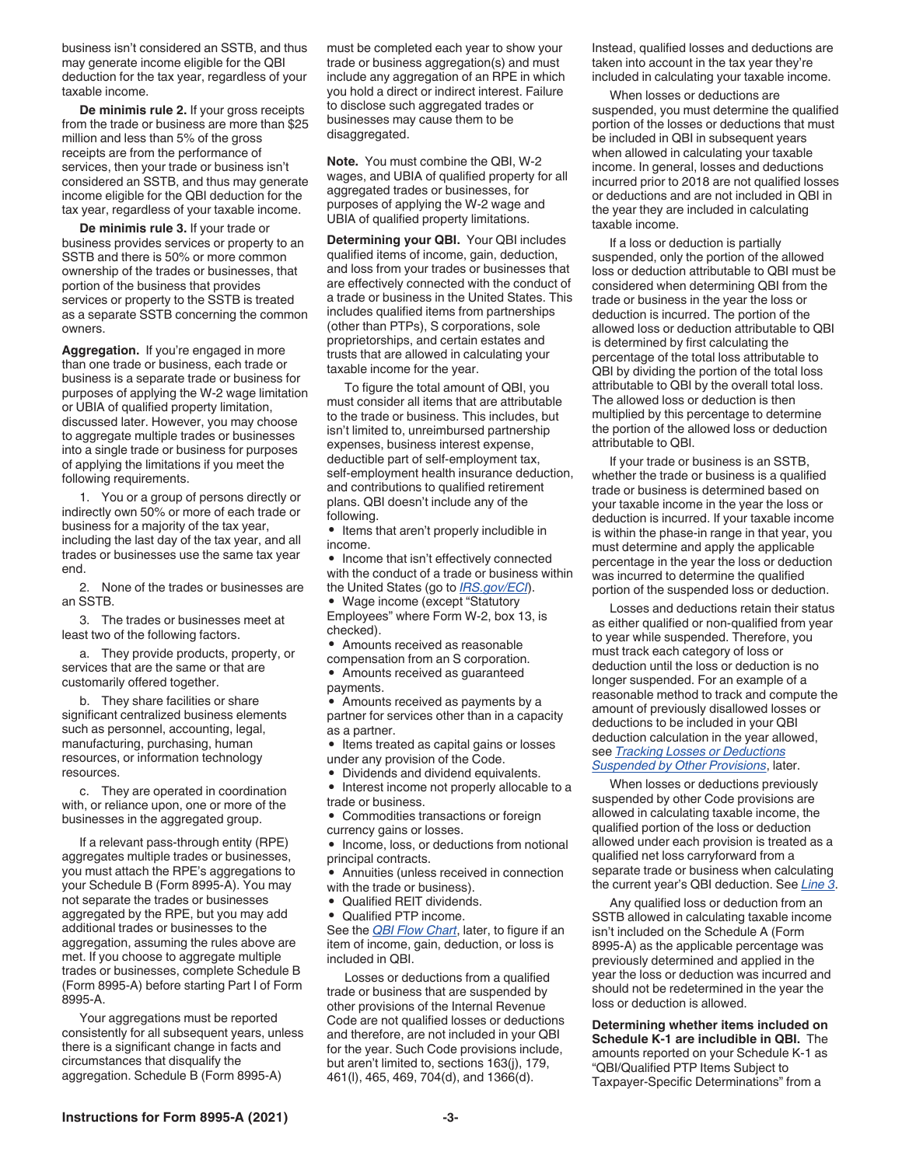business isn't considered an SSTB, and thus may generate income eligible for the QBI deduction for the tax year, regardless of your taxable income.

**De minimis rule 2.** If your gross receipts from the trade or business are more than \$25 million and less than 5% of the gross receipts are from the performance of services, then your trade or business isn't considered an SSTB, and thus may generate income eligible for the QBI deduction for the tax year, regardless of your taxable income.

**De minimis rule 3.** If your trade or business provides services or property to an SSTB and there is 50% or more common ownership of the trades or businesses, that portion of the business that provides services or property to the SSTB is treated as a separate SSTB concerning the common owners.

**Aggregation.** If you're engaged in more than one trade or business, each trade or business is a separate trade or business for purposes of applying the W-2 wage limitation or UBIA of qualified property limitation, discussed later. However, you may choose to aggregate multiple trades or businesses into a single trade or business for purposes of applying the limitations if you meet the following requirements.

1. You or a group of persons directly or indirectly own 50% or more of each trade or business for a majority of the tax year, including the last day of the tax year, and all trades or businesses use the same tax year end.

2. None of the trades or businesses are an SSTB.

3. The trades or businesses meet at least two of the following factors.

a. They provide products, property, or services that are the same or that are customarily offered together.

b. They share facilities or share significant centralized business elements such as personnel, accounting, legal, manufacturing, purchasing, human resources, or information technology resources.

c. They are operated in coordination with, or reliance upon, one or more of the businesses in the aggregated group.

If a relevant pass-through entity (RPE) aggregates multiple trades or businesses, you must attach the RPE's aggregations to your Schedule B (Form 8995-A). You may not separate the trades or businesses aggregated by the RPE, but you may add additional trades or businesses to the aggregation, assuming the rules above are met. If you choose to aggregate multiple trades or businesses, complete Schedule B (Form 8995-A) before starting Part I of Form 8995-A.

Your aggregations must be reported consistently for all subsequent years, unless there is a significant change in facts and circumstances that disqualify the aggregation. Schedule B (Form 8995-A)

must be completed each year to show your trade or business aggregation(s) and must include any aggregation of an RPE in which you hold a direct or indirect interest. Failure to disclose such aggregated trades or businesses may cause them to be disaggregated.

**Note.** You must combine the QBI, W-2 wages, and UBIA of qualified property for all aggregated trades or businesses, for purposes of applying the W-2 wage and UBIA of qualified property limitations.

**Determining your QBI.** Your QBI includes qualified items of income, gain, deduction, and loss from your trades or businesses that are effectively connected with the conduct of a trade or business in the United States. This includes qualified items from partnerships (other than PTPs), S corporations, sole proprietorships, and certain estates and trusts that are allowed in calculating your taxable income for the year.

To figure the total amount of QBI, you must consider all items that are attributable to the trade or business. This includes, but isn't limited to, unreimbursed partnership expenses, business interest expense, deductible part of self-employment tax, self-employment health insurance deduction, and contributions to qualified retirement plans. QBI doesn't include any of the following.

• Items that aren't properly includible in income.

• Income that isn't effectively connected with the conduct of a trade or business within the United States (go to *[IRS.gov/ECI](https://www.irs.gov/ECI)*).

• Wage income (except "Statutory Employees" where Form W-2, box 13, is checked).

• Amounts received as reasonable

compensation from an S corporation. • Amounts received as guaranteed payments.

• Amounts received as payments by a partner for services other than in a capacity as a partner.

• Items treated as capital gains or losses under any provision of the Code.

• Dividends and dividend equivalents.

• Interest income not properly allocable to a trade or business.

• Commodities transactions or foreign currency gains or losses.

• Income, loss, or deductions from notional principal contracts.

• Annuities (unless received in connection with the trade or business).

• Qualified REIT dividends.

• Qualified PTP income.

See the *QBI Flow Chart*, later, to figure if an item of income, gain, deduction, or loss is included in QBI.

Losses or deductions from a qualified trade or business that are suspended by other provisions of the Internal Revenue Code are not qualified losses or deductions and therefore, are not included in your QBI for the year. Such Code provisions include, but aren't limited to, sections 163(j), 179, 461(l), 465, 469, 704(d), and 1366(d).

Instead, qualified losses and deductions are taken into account in the tax year they're included in calculating your taxable income.

When losses or deductions are suspended, you must determine the qualified portion of the losses or deductions that must be included in QBI in subsequent years when allowed in calculating your taxable income. In general, losses and deductions incurred prior to 2018 are not qualified losses or deductions and are not included in QBI in the year they are included in calculating taxable income.

If a loss or deduction is partially suspended, only the portion of the allowed loss or deduction attributable to QBI must be considered when determining QBI from the trade or business in the year the loss or deduction is incurred. The portion of the allowed loss or deduction attributable to QBI is determined by first calculating the percentage of the total loss attributable to QBI by dividing the portion of the total loss attributable to QBI by the overall total loss. The allowed loss or deduction is then multiplied by this percentage to determine the portion of the allowed loss or deduction attributable to QBI.

If your trade or business is an SSTB, whether the trade or business is a qualified trade or business is determined based on your taxable income in the year the loss or deduction is incurred. If your taxable income is within the phase-in range in that year, you must determine and apply the applicable percentage in the year the loss or deduction was incurred to determine the qualified portion of the suspended loss or deduction.

Losses and deductions retain their status as either qualified or non-qualified from year to year while suspended. Therefore, you must track each category of loss or deduction until the loss or deduction is no longer suspended. For an example of a reasonable method to track and compute the amount of previously disallowed losses or deductions to be included in your QBI deduction calculation in the year allowed, see *Tracking Losses or Deductions Suspended by Other Provisions*, later.

When losses or deductions previously suspended by other Code provisions are allowed in calculating taxable income, the qualified portion of the loss or deduction allowed under each provision is treated as a qualified net loss carryforward from a separate trade or business when calculating the current year's QBI deduction. See *Line 3*.

Any qualified loss or deduction from an SSTB allowed in calculating taxable income isn't included on the Schedule A (Form 8995-A) as the applicable percentage was previously determined and applied in the year the loss or deduction was incurred and should not be redetermined in the year the loss or deduction is allowed.

**Determining whether items included on Schedule K-1 are includible in QBI.** The amounts reported on your Schedule K-1 as "QBI/Qualified PTP Items Subject to Taxpayer-Specific Determinations" from a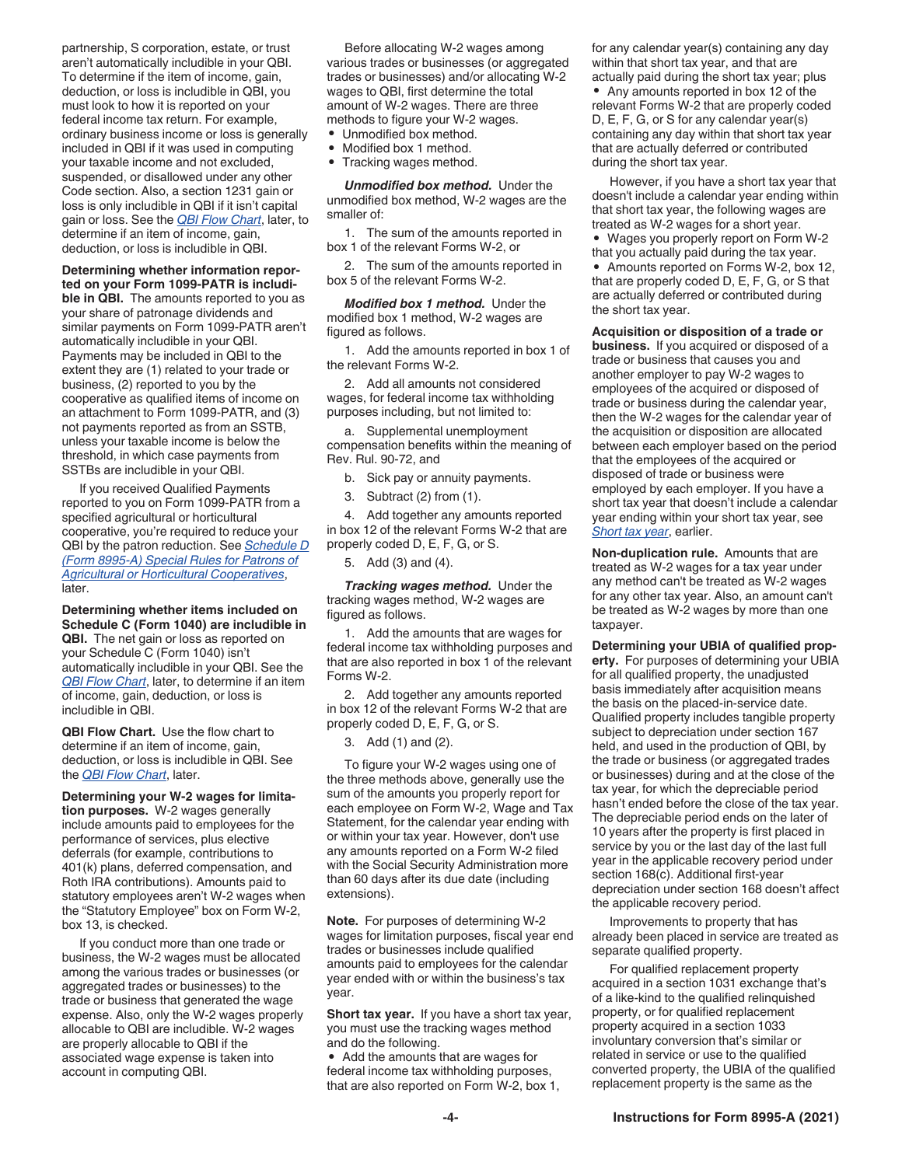partnership, S corporation, estate, or trust aren't automatically includible in your QBI. To determine if the item of income, gain, deduction, or loss is includible in QBI, you must look to how it is reported on your federal income tax return. For example, ordinary business income or loss is generally included in QBI if it was used in computing your taxable income and not excluded, suspended, or disallowed under any other Code section. Also, a section 1231 gain or loss is only includible in QBI if it isn't capital gain or loss. See the *QBI Flow Chart*, later, to determine if an item of income, gain, deduction, or loss is includible in QBI.

#### **Determining whether information reported on your Form 1099-PATR is includi-**

**ble in QBI.** The amounts reported to you as your share of patronage dividends and similar payments on Form 1099-PATR aren't automatically includible in your QBI. Payments may be included in QBI to the extent they are (1) related to your trade or business, (2) reported to you by the cooperative as qualified items of income on an attachment to Form 1099-PATR, and (3) not payments reported as from an SSTB, unless your taxable income is below the threshold, in which case payments from SSTBs are includible in your QBI.

If you received Qualified Payments reported to you on Form 1099-PATR from a specified agricultural or horticultural cooperative, you're required to reduce your QBI by the patron reduction. See *Schedule D (Form 8995-A) Special Rules for Patrons of Agricultural or Horticultural Cooperatives*, later.

**Determining whether items included on Schedule C (Form 1040) are includible in QBI.** The net gain or loss as reported on your Schedule C (Form 1040) isn't automatically includible in your QBI. See the *QBI Flow Chart*, later, to determine if an item of income, gain, deduction, or loss is includible in QBI.

**QBI Flow Chart.** Use the flow chart to determine if an item of income, gain, deduction, or loss is includible in QBI. See the *QBI Flow Chart*, later.

**Determining your W-2 wages for limitation purposes.** W-2 wages generally include amounts paid to employees for the performance of services, plus elective deferrals (for example, contributions to 401(k) plans, deferred compensation, and Roth IRA contributions). Amounts paid to statutory employees aren't W-2 wages when the "Statutory Employee" box on Form W-2, box 13, is checked.

If you conduct more than one trade or business, the W-2 wages must be allocated among the various trades or businesses (or aggregated trades or businesses) to the trade or business that generated the wage expense. Also, only the W-2 wages properly allocable to QBI are includible. W-2 wages are properly allocable to QBI if the associated wage expense is taken into account in computing QBI.

Before allocating W-2 wages among various trades or businesses (or aggregated trades or businesses) and/or allocating W-2 wages to QBI, first determine the total amount of W-2 wages. There are three methods to figure your W-2 wages.

- Unmodified box method.
- Modified box 1 method.
- Tracking wages method.

*Unmodified box method.* Under the unmodified box method, W-2 wages are the smaller of:

1. The sum of the amounts reported in box 1 of the relevant Forms W-2, or

2. The sum of the amounts reported in box 5 of the relevant Forms W-2.

*Modified box 1 method.* Under the modified box 1 method, W-2 wages are figured as follows.

1. Add the amounts reported in box 1 of the relevant Forms W-2.

2. Add all amounts not considered wages, for federal income tax withholding purposes including, but not limited to:

a. Supplemental unemployment compensation benefits within the meaning of Rev. Rul. 90-72, and

b. Sick pay or annuity payments.

3. Subtract (2) from (1).

4. Add together any amounts reported in box 12 of the relevant Forms W-2 that are properly coded D, E, F, G, or S.

5. Add (3) and (4).

*Tracking wages method.* Under the tracking wages method, W-2 wages are figured as follows.

1. Add the amounts that are wages for federal income tax withholding purposes and that are also reported in box 1 of the relevant Forms W-2.

2. Add together any amounts reported in box 12 of the relevant Forms W-2 that are properly coded D, E, F, G, or S.

3. Add (1) and (2).

To figure your W-2 wages using one of the three methods above, generally use the sum of the amounts you properly report for each employee on Form W-2, Wage and Tax Statement, for the calendar year ending with or within your tax year. However, don't use any amounts reported on a Form W-2 filed with the Social Security Administration more than 60 days after its due date (including extensions).

**Note.** For purposes of determining W-2 wages for limitation purposes, fiscal year end trades or businesses include qualified amounts paid to employees for the calendar year ended with or within the business's tax year.

**Short tax year.** If you have a short tax year, you must use the tracking wages method and do the following.

• Add the amounts that are wages for federal income tax withholding purposes, that are also reported on Form W-2, box 1, for any calendar year(s) containing any day within that short tax year, and that are actually paid during the short tax year; plus

• Any amounts reported in box 12 of the relevant Forms W-2 that are properly coded D, E, F, G, or S for any calendar year(s) containing any day within that short tax year that are actually deferred or contributed during the short tax year.

However, if you have a short tax year that doesn't include a calendar year ending within that short tax year, the following wages are treated as W-2 wages for a short year.

• Wages you properly report on Form W-2 that you actually paid during the tax year. • Amounts reported on Forms W-2, box 12, that are properly coded D, E, F, G, or S that are actually deferred or contributed during the short tax year.

**Acquisition or disposition of a trade or business.** If you acquired or disposed of a trade or business that causes you and another employer to pay W-2 wages to employees of the acquired or disposed of trade or business during the calendar year, then the W-2 wages for the calendar year of the acquisition or disposition are allocated between each employer based on the period that the employees of the acquired or disposed of trade or business were employed by each employer. If you have a short tax year that doesn't include a calendar year ending within your short tax year, see *Short tax year*, earlier.

**Non-duplication rule.** Amounts that are treated as W-2 wages for a tax year under any method can't be treated as W-2 wages for any other tax year. Also, an amount can't be treated as W-2 wages by more than one taxpayer.

**Determining your UBIA of qualified property.** For purposes of determining your UBIA for all qualified property, the unadjusted basis immediately after acquisition means the basis on the placed-in-service date. Qualified property includes tangible property subject to depreciation under section 167 held, and used in the production of QBI, by the trade or business (or aggregated trades or businesses) during and at the close of the tax year, for which the depreciable period hasn't ended before the close of the tax year. The depreciable period ends on the later of 10 years after the property is first placed in service by you or the last day of the last full year in the applicable recovery period under section 168(c). Additional first-year depreciation under section 168 doesn't affect the applicable recovery period.

Improvements to property that has already been placed in service are treated as separate qualified property.

For qualified replacement property acquired in a section 1031 exchange that's of a like-kind to the qualified relinquished property, or for qualified replacement property acquired in a section 1033 involuntary conversion that's similar or related in service or use to the qualified converted property, the UBIA of the qualified replacement property is the same as the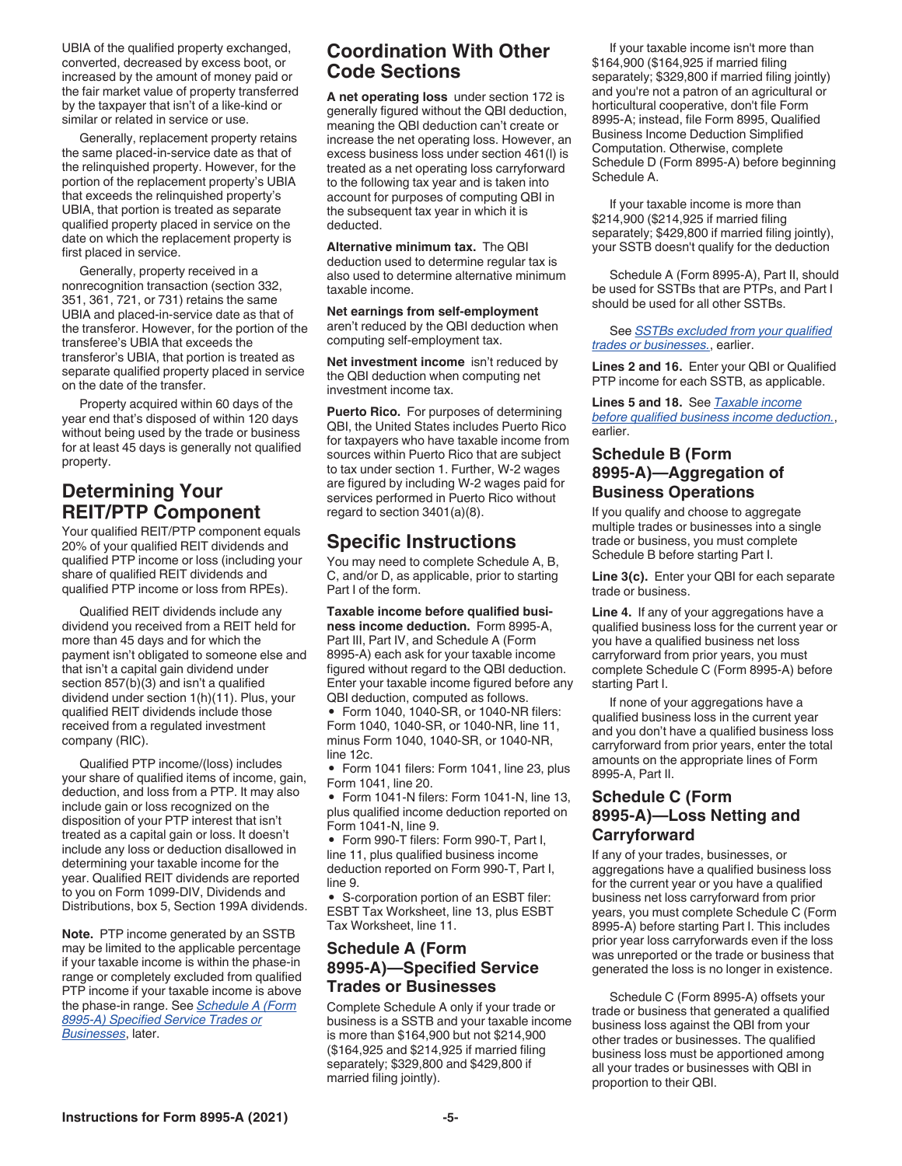UBIA of the qualified property exchanged, converted, decreased by excess boot, or increased by the amount of money paid or the fair market value of property transferred by the taxpayer that isn't of a like-kind or similar or related in service or use.

Generally, replacement property retains the same placed-in-service date as that of the relinquished property. However, for the portion of the replacement property's UBIA that exceeds the relinquished property's UBIA, that portion is treated as separate qualified property placed in service on the date on which the replacement property is first placed in service.

Generally, property received in a nonrecognition transaction (section 332, 351, 361, 721, or 731) retains the same UBIA and placed-in-service date as that of the transferor. However, for the portion of the transferee's UBIA that exceeds the transferor's UBIA, that portion is treated as separate qualified property placed in service on the date of the transfer.

Property acquired within 60 days of the year end that's disposed of within 120 days without being used by the trade or business for at least 45 days is generally not qualified property.

# **Determining Your REIT/PTP Component**

Your qualified REIT/PTP component equals 20% of your qualified REIT dividends and qualified PTP income or loss (including your share of qualified REIT dividends and qualified PTP income or loss from RPEs).

Qualified REIT dividends include any dividend you received from a REIT held for more than 45 days and for which the payment isn't obligated to someone else and that isn't a capital gain dividend under section 857(b)(3) and isn't a qualified dividend under section 1(h)(11). Plus, your qualified REIT dividends include those received from a regulated investment company (RIC).

Qualified PTP income/(loss) includes your share of qualified items of income, gain, deduction, and loss from a PTP. It may also include gain or loss recognized on the disposition of your PTP interest that isn't treated as a capital gain or loss. It doesn't include any loss or deduction disallowed in determining your taxable income for the year. Qualified REIT dividends are reported to you on Form 1099-DIV, Dividends and Distributions, box 5, Section 199A dividends.

**Note.** PTP income generated by an SSTB may be limited to the applicable percentage if your taxable income is within the phase-in range or completely excluded from qualified PTP income if your taxable income is above the phase-in range. See *Schedule A (Form 8995-A) Specified Service Trades or Businesses*, later.

# **Coordination With Other Code Sections**

**A net operating loss** under section 172 is generally figured without the QBI deduction, meaning the QBI deduction can't create or increase the net operating loss. However, an excess business loss under section 461(l) is treated as a net operating loss carryforward to the following tax year and is taken into account for purposes of computing QBI in the subsequent tax year in which it is deducted.

**Alternative minimum tax.** The QBI deduction used to determine regular tax is also used to determine alternative minimum taxable income.

**Net earnings from self-employment**  aren't reduced by the QBI deduction when computing self-employment tax.

**Net investment income** isn't reduced by the QBI deduction when computing net investment income tax.

**Puerto Rico.** For purposes of determining QBI, the United States includes Puerto Rico for taxpayers who have taxable income from sources within Puerto Rico that are subject to tax under section 1. Further, W-2 wages are figured by including W-2 wages paid for services performed in Puerto Rico without regard to section 3401(a)(8).

# **Specific Instructions**

You may need to complete Schedule A, B, C, and/or D, as applicable, prior to starting Part I of the form.

**Taxable income before qualified business income deduction.** Form 8995-A, Part III, Part IV, and Schedule A (Form 8995-A) each ask for your taxable income figured without regard to the QBI deduction. Enter your taxable income figured before any QBI deduction, computed as follows.

• Form 1040, 1040-SR, or 1040-NR filers: Form 1040, 1040-SR, or 1040-NR, line 11, minus Form 1040, 1040-SR, or 1040-NR, line 12c.

• Form 1041 filers: Form 1041, line 23, plus Form 1041, line 20.

• Form 1041-N filers: Form 1041-N, line 13, plus qualified income deduction reported on Form 1041-N, line 9.

• Form 990-T filers: Form 990-T, Part I, line 11, plus qualified business income deduction reported on Form 990-T, Part I, line 9.

• S-corporation portion of an ESBT filer: ESBT Tax Worksheet, line 13, plus ESBT Tax Worksheet, line 11.

#### **Schedule A (Form 8995-A)—Specified Service Trades or Businesses**

Complete Schedule A only if your trade or business is a SSTB and your taxable income is more than \$164,900 but not \$214,900 (\$164,925 and \$214,925 if married filing separately; \$329,800 and \$429,800 if married filing jointly).

If your taxable income isn't more than \$164,900 (\$164,925 if married filing separately; \$329,800 if married filing jointly) and you're not a patron of an agricultural or horticultural cooperative, don't file Form 8995-A; instead, file Form 8995, Qualified Business Income Deduction Simplified Computation. Otherwise, complete Schedule D (Form 8995-A) before beginning Schedule A.

If your taxable income is more than \$214,900 (\$214,925 if married filing separately; \$429,800 if married filing jointly), your SSTB doesn't qualify for the deduction

Schedule A (Form 8995-A), Part II, should be used for SSTBs that are PTPs, and Part I should be used for all other SSTBs.

See *SSTBs excluded from your qualified trades or businesses.*, earlier.

**Lines 2 and 16.** Enter your QBI or Qualified PTP income for each SSTB, as applicable.

**Lines 5 and 18.** See *Taxable income before qualified business income deduction.*, earlier.

#### **Schedule B (Form 8995-A)—Aggregation of Business Operations**

If you qualify and choose to aggregate multiple trades or businesses into a single trade or business, you must complete Schedule B before starting Part I.

**Line 3(c).** Enter your QBI for each separate trade or business.

**Line 4.** If any of your aggregations have a qualified business loss for the current year or you have a qualified business net loss carryforward from prior years, you must complete Schedule C (Form 8995-A) before starting Part I.

If none of your aggregations have a qualified business loss in the current year and you don't have a qualified business loss carryforward from prior years, enter the total amounts on the appropriate lines of Form 8995-A, Part II.

#### **Schedule C (Form 8995-A)—Loss Netting and Carryforward**

If any of your trades, businesses, or aggregations have a qualified business loss for the current year or you have a qualified business net loss carryforward from prior years, you must complete Schedule C (Form 8995-A) before starting Part I. This includes prior year loss carryforwards even if the loss was unreported or the trade or business that generated the loss is no longer in existence.

Schedule C (Form 8995-A) offsets your trade or business that generated a qualified business loss against the QBI from your other trades or businesses. The qualified business loss must be apportioned among all your trades or businesses with QBI in proportion to their QBI.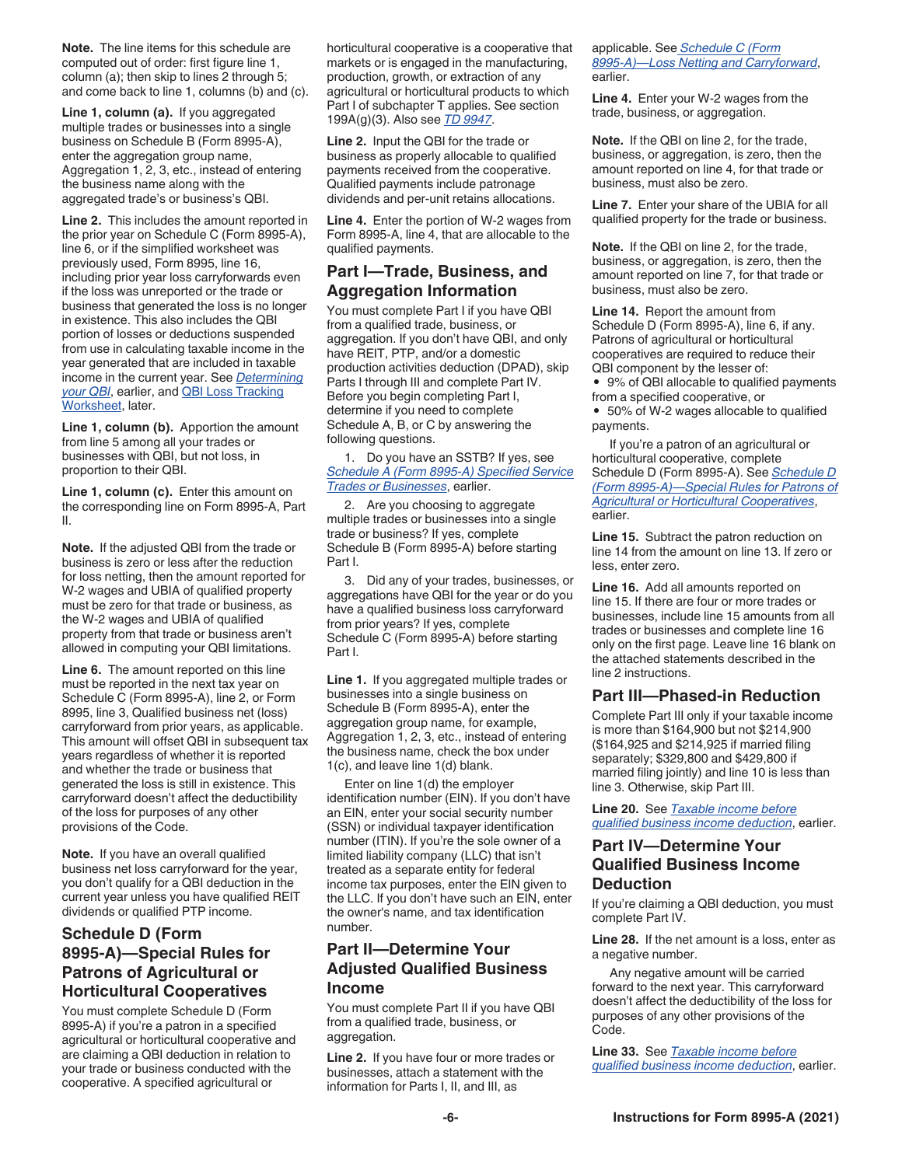**Note.** The line items for this schedule are computed out of order: first figure line 1, column (a); then skip to lines 2 through 5; and come back to line 1, columns (b) and (c).

**Line 1, column (a).** If you aggregated multiple trades or businesses into a single business on Schedule B (Form 8995-A), enter the aggregation group name, Aggregation 1, 2, 3, etc., instead of entering the business name along with the aggregated trade's or business's QBI.

**Line 2.** This includes the amount reported in the prior year on Schedule C (Form 8995-A), line 6, or if the simplified worksheet was previously used, Form 8995, line 16, including prior year loss carryforwards even if the loss was unreported or the trade or business that generated the loss is no longer in existence. This also includes the QBI portion of losses or deductions suspended from use in calculating taxable income in the year generated that are included in taxable income in the current year. See *Determining your QBI*, earlier, and QBI Loss Tracking Worksheet, later.

**Line 1, column (b).** Apportion the amount from line 5 among all your trades or businesses with QBI, but not loss, in proportion to their QBI.

**Line 1, column (c).** Enter this amount on the corresponding line on Form 8995-A, Part II.

**Note.** If the adjusted QBI from the trade or business is zero or less after the reduction for loss netting, then the amount reported for W-2 wages and UBIA of qualified property must be zero for that trade or business, as the W-2 wages and UBIA of qualified property from that trade or business aren't allowed in computing your QBI limitations.

**Line 6.** The amount reported on this line must be reported in the next tax year on Schedule C (Form 8995-A), line 2, or Form 8995, line 3, Qualified business net (loss) carryforward from prior years, as applicable. This amount will offset QBI in subsequent tax years regardless of whether it is reported and whether the trade or business that generated the loss is still in existence. This carryforward doesn't affect the deductibility of the loss for purposes of any other provisions of the Code.

**Note.** If you have an overall qualified business net loss carryforward for the year, you don't qualify for a QBI deduction in the current year unless you have qualified REIT dividends or qualified PTP income.

#### **Schedule D (Form 8995-A)—Special Rules for Patrons of Agricultural or Horticultural Cooperatives**

You must complete Schedule D (Form 8995-A) if you're a patron in a specified agricultural or horticultural cooperative and are claiming a QBI deduction in relation to your trade or business conducted with the cooperative. A specified agricultural or

horticultural cooperative is a cooperative that markets or is engaged in the manufacturing, production, growth, or extraction of any agricultural or horticultural products to which Part I of subchapter T applies. See section 199A(g)(3). Also see *[TD 9947](https://federalregister.gov/d/2021-00667)*.

**Line 2.** Input the QBI for the trade or business as properly allocable to qualified payments received from the cooperative. Qualified payments include patronage dividends and per-unit retains allocations.

**Line 4.** Enter the portion of W-2 wages from Form 8995-A, line 4, that are allocable to the qualified payments.

#### **Part I—Trade, Business, and Aggregation Information**

You must complete Part I if you have QBI from a qualified trade, business, or aggregation. If you don't have QBI, and only have REIT, PTP, and/or a domestic production activities deduction (DPAD), skip Parts I through III and complete Part IV. Before you begin completing Part I, determine if you need to complete Schedule A, B, or C by answering the following questions.

1. Do you have an SSTB? If yes, see *Schedule A (Form 8995-A) Specified Service Trades or Businesses*, earlier.

2. Are you choosing to aggregate multiple trades or businesses into a single trade or business? If yes, complete Schedule B (Form 8995-A) before starting Part I.

3. Did any of your trades, businesses, or aggregations have QBI for the year or do you have a qualified business loss carryforward from prior years? If yes, complete Schedule C (Form 8995-A) before starting Part I.

**Line 1.** If you aggregated multiple trades or businesses into a single business on Schedule B (Form 8995-A), enter the aggregation group name, for example, Aggregation 1, 2, 3, etc., instead of entering the business name, check the box under 1(c), and leave line 1(d) blank.

Enter on line 1(d) the employer identification number (EIN). If you don't have an EIN, enter your social security number (SSN) or individual taxpayer identification number (ITIN). If you're the sole owner of a limited liability company (LLC) that isn't treated as a separate entity for federal income tax purposes, enter the EIN given to the LLC. If you don't have such an EIN, enter the owner's name, and tax identification number.

#### **Part II—Determine Your Adjusted Qualified Business Income**

You must complete Part II if you have QBI from a qualified trade, business, or aggregation.

**Line 2.** If you have four or more trades or businesses, attach a statement with the information for Parts I, II, and III, as

applicable. See *Schedule C (Form 8995-A)—Loss Netting and Carryforward*, earlier.

**Line 4.** Enter your W-2 wages from the trade, business, or aggregation.

**Note.** If the QBI on line 2, for the trade, business, or aggregation, is zero, then the amount reported on line 4, for that trade or business, must also be zero.

**Line 7.** Enter your share of the UBIA for all qualified property for the trade or business.

**Note.** If the QBI on line 2, for the trade, business, or aggregation, is zero, then the amount reported on line 7, for that trade or business, must also be zero.

**Line 14.** Report the amount from Schedule D (Form 8995-A), line 6, if any. Patrons of agricultural or horticultural cooperatives are required to reduce their QBI component by the lesser of:

• 9% of QBI allocable to qualified payments from a specified cooperative, or

• 50% of W-2 wages allocable to qualified payments.

If you're a patron of an agricultural or horticultural cooperative, complete Schedule D (Form 8995-A). See *Schedule D (Form 8995-A)—Special Rules for Patrons of Agricultural or Horticultural Cooperatives*, earlier.

**Line 15.** Subtract the patron reduction on line 14 from the amount on line 13. If zero or less, enter zero.

**Line 16.** Add all amounts reported on line 15. If there are four or more trades or businesses, include line 15 amounts from all trades or businesses and complete line 16 only on the first page. Leave line 16 blank on the attached statements described in the line 2 instructions.

#### **Part III—Phased-in Reduction**

Complete Part III only if your taxable income is more than \$164,900 but not \$214,900 (\$164,925 and \$214,925 if married filing separately; \$329,800 and \$429,800 if married filing jointly) and line 10 is less than line 3. Otherwise, skip Part III.

**Line 20.** See *Taxable income before qualified business income deduction*, earlier.

#### **Part IV—Determine Your Qualified Business Income Deduction**

If you're claiming a QBI deduction, you must complete Part IV.

**Line 28.** If the net amount is a loss, enter as a negative number.

Any negative amount will be carried forward to the next year. This carryforward doesn't affect the deductibility of the loss for purposes of any other provisions of the Code.

**Line 33.** See *Taxable income before qualified business income deduction*, earlier.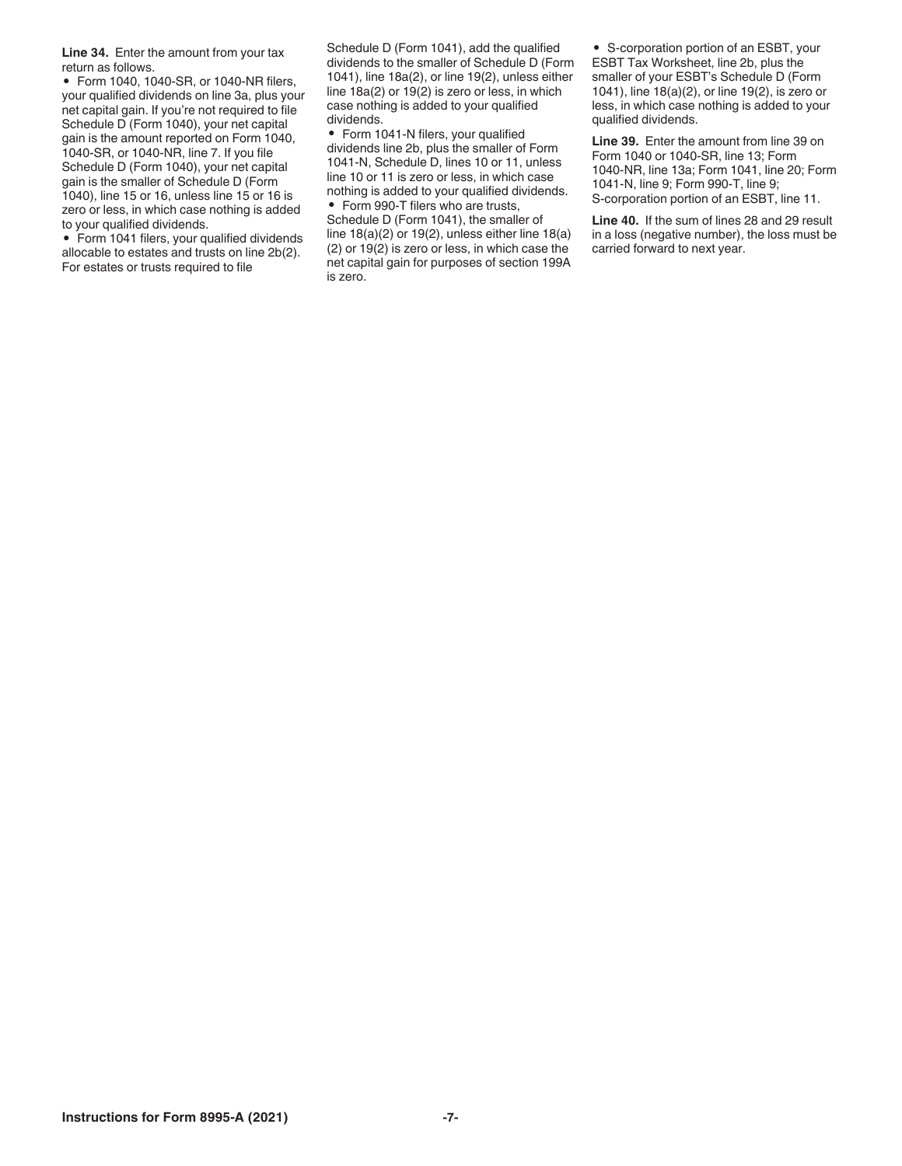**Line 34.** Enter the amount from your tax return as follows.

• Form 1040, 1040-SR, or 1040-NR filers, your qualified dividends on line 3a, plus your net capital gain. If you're not required to file Schedule D (Form 1040), your net capital gain is the amount reported on Form 1040, 1040-SR, or 1040-NR, line 7. If you file Schedule D (Form 1040), your net capital gain is the smaller of Schedule D (Form 1040), line 15 or 16, unless line 15 or 16 is zero or less, in which case nothing is added to your qualified dividends.

• Form 1041 filers, your qualified dividends allocable to estates and trusts on line 2b(2). For estates or trusts required to file

Schedule D (Form 1041), add the qualified dividends to the smaller of Schedule D (Form 1041), line 18a(2), or line 19(2), unless either line 18a(2) or 19(2) is zero or less, in which case nothing is added to your qualified dividends.

• Form 1041-N filers, your qualified dividends line 2b, plus the smaller of Form 1041-N, Schedule D, lines 10 or 11, unless line 10 or 11 is zero or less, in which case nothing is added to your qualified dividends. • Form 990-T filers who are trusts,

Schedule D (Form 1041), the smaller of line 18(a)(2) or 19(2), unless either line 18(a) (2) or 19(2) is zero or less, in which case the net capital gain for purposes of section 199A is zero.

• S-corporation portion of an ESBT, your ESBT Tax Worksheet, line 2b, plus the smaller of your ESBT's Schedule D (Form 1041), line 18(a)(2), or line 19(2), is zero or less, in which case nothing is added to your qualified dividends.

**Line 39.** Enter the amount from line 39 on Form 1040 or 1040-SR, line 13; Form 1040-NR, line 13a; Form 1041, line 20; Form 1041-N, line 9; Form 990-T, line 9; S-corporation portion of an ESBT, line 11.

**Line 40.** If the sum of lines 28 and 29 result in a loss (negative number), the loss must be carried forward to next year.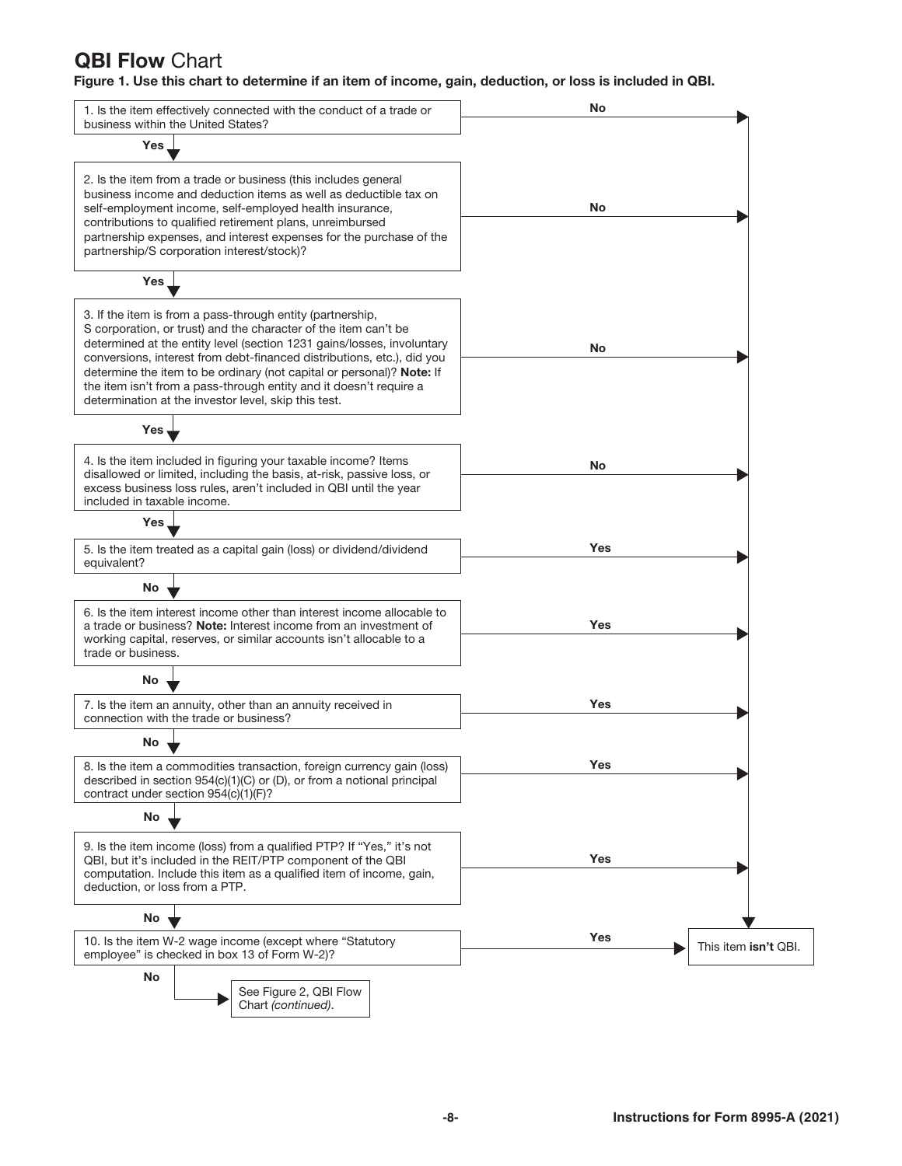# **QBI Flow Chart**

Figure 1. Use this chart to determine if an item of income, gain, deduction, or loss is included in QBI.

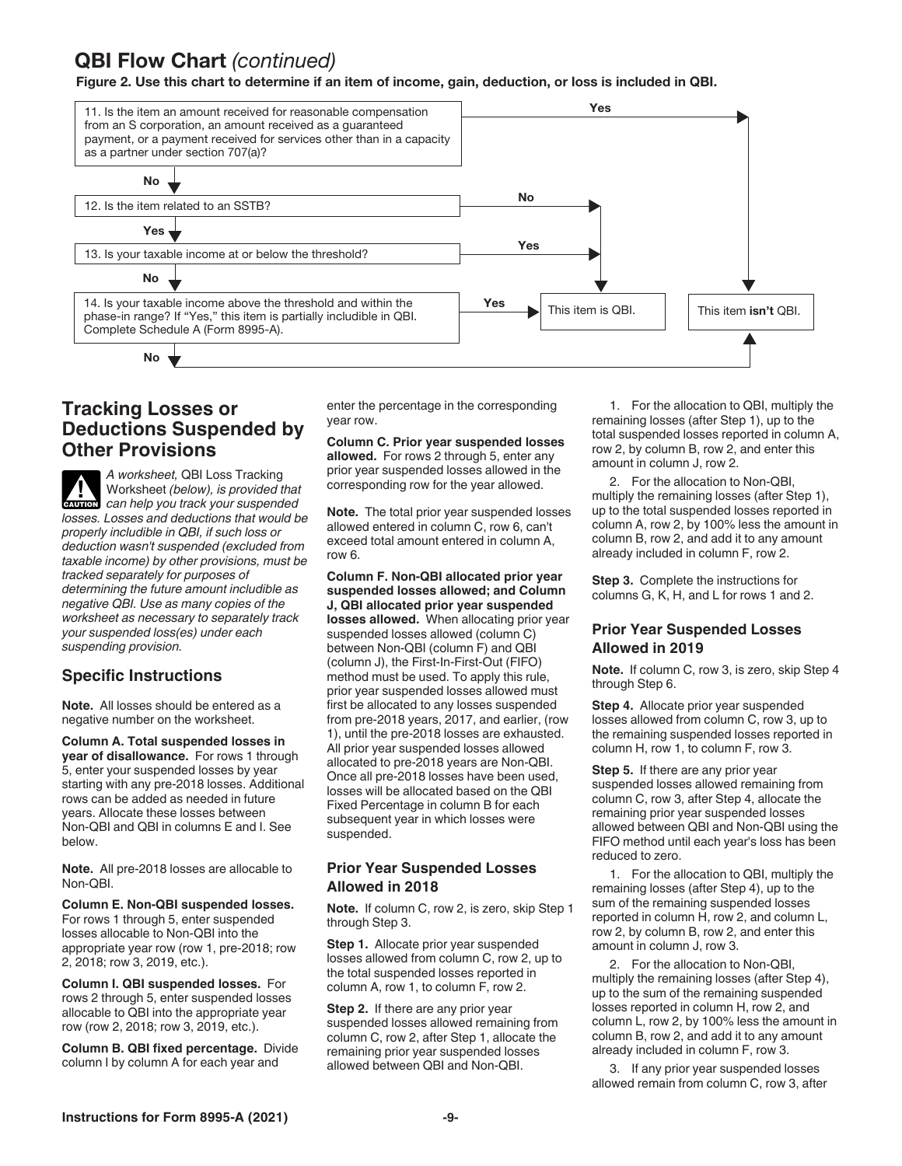# QBI Flow Chart *(continued)*

Figure 2. Use this chart to determine if an item of income, gain, deduction, or loss is included in QBI.



#### **Tracking Losses or Deductions Suspended by Other Provisions**

*A worksheet,* QBI Loss Tracking Worksheet *(below), is provided that can help you track your suspended losses. Losses and deductions that would be properly includible in QBI, if such loss or deduction wasn't suspended (excluded from taxable income) by other provisions, must be tracked separately for purposes of determining the future amount includible as negative QBI. Use as many copies of the worksheet as necessary to separately track your suspended loss(es) under each suspending provision.*  $\frac{1}{\text{Cautron}}$ 

#### **Specific Instructions**

**Note.** All losses should be entered as a negative number on the worksheet.

**Column A. Total suspended losses in year of disallowance.** For rows 1 through 5, enter your suspended losses by year starting with any pre-2018 losses. Additional rows can be added as needed in future years. Allocate these losses between Non-QBI and QBI in columns E and I. See below.

**Note.** All pre-2018 losses are allocable to Non-QBI.

**Column E. Non-QBI suspended losses.**  For rows 1 through 5, enter suspended losses allocable to Non-QBI into the appropriate year row (row 1, pre-2018; row 2, 2018; row 3, 2019, etc.).

**Column I. QBI suspended losses.** For rows 2 through 5, enter suspended losses allocable to QBI into the appropriate year row (row 2, 2018; row 3, 2019, etc.).

**Column B. QBI fixed percentage.** Divide column I by column A for each year and

enter the percentage in the corresponding year row.

**Column C. Prior year suspended losses allowed.** For rows 2 through 5, enter any prior year suspended losses allowed in the corresponding row for the year allowed.

**Note.** The total prior year suspended losses allowed entered in column C, row 6, can't exceed total amount entered in column A, row 6.

**Column F. Non-QBI allocated prior year suspended losses allowed; and Column J, QBI allocated prior year suspended losses allowed.** When allocating prior year suspended losses allowed (column C) between Non-QBI (column F) and QBI (column J), the First-In-First-Out (FIFO) method must be used. To apply this rule, prior year suspended losses allowed must first be allocated to any losses suspended from pre-2018 years, 2017, and earlier, (row 1), until the pre-2018 losses are exhausted. All prior year suspended losses allowed allocated to pre-2018 years are Non-QBI. Once all pre-2018 losses have been used, losses will be allocated based on the QBI Fixed Percentage in column B for each subsequent year in which losses were suspended.

#### **Prior Year Suspended Losses Allowed in 2018**

**Note.** If column C, row 2, is zero, skip Step 1 through Step 3.

**Step 1.** Allocate prior year suspended losses allowed from column C, row 2, up to the total suspended losses reported in column A, row 1, to column F, row 2.

**Step 2.** If there are any prior year suspended losses allowed remaining from column C, row 2, after Step 1, allocate the remaining prior year suspended losses allowed between QBI and Non-QBI.

1. For the allocation to QBI, multiply the remaining losses (after Step 1), up to the total suspended losses reported in column A, row 2, by column B, row 2, and enter this amount in column J, row 2.

2. For the allocation to Non-QBI, multiply the remaining losses (after Step 1), up to the total suspended losses reported in column A, row 2, by 100% less the amount in column B, row 2, and add it to any amount already included in column F, row 2.

**Step 3.** Complete the instructions for columns G, K, H, and L for rows 1 and 2.

#### **Prior Year Suspended Losses Allowed in 2019**

**Note.** If column C, row 3, is zero, skip Step 4 through Step 6.

**Step 4.** Allocate prior year suspended losses allowed from column C, row 3, up to the remaining suspended losses reported in column H, row 1, to column F, row 3.

**Step 5.** If there are any prior year suspended losses allowed remaining from column C, row 3, after Step 4, allocate the remaining prior year suspended losses allowed between QBI and Non-QBI using the FIFO method until each year's loss has been reduced to zero. 1 is QBI.<br>
1. For the allocation to QBI, multiply the<br>
remaining losses (after Step 1), up to the<br>
total suspended losses reported in column  $\alpha$ , the column B, row 2,<br>
2. For the allocation to Non-QBI,<br>
2. For the allocat

1. For the allocation to QBI, multiply the remaining losses (after Step 4), up to the sum of the remaining suspended losses reported in column H, row 2, and column L, row 2, by column B, row 2, and enter this amount in column J, row 3.

2. For the allocation to Non-QBI, multiply the remaining losses (after Step 4), up to the sum of the remaining suspended losses reported in column H, row 2, and column L, row 2, by 100% less the amount in column B, row 2, and add it to any amount already included in column F, row 3.

3. If any prior year suspended losses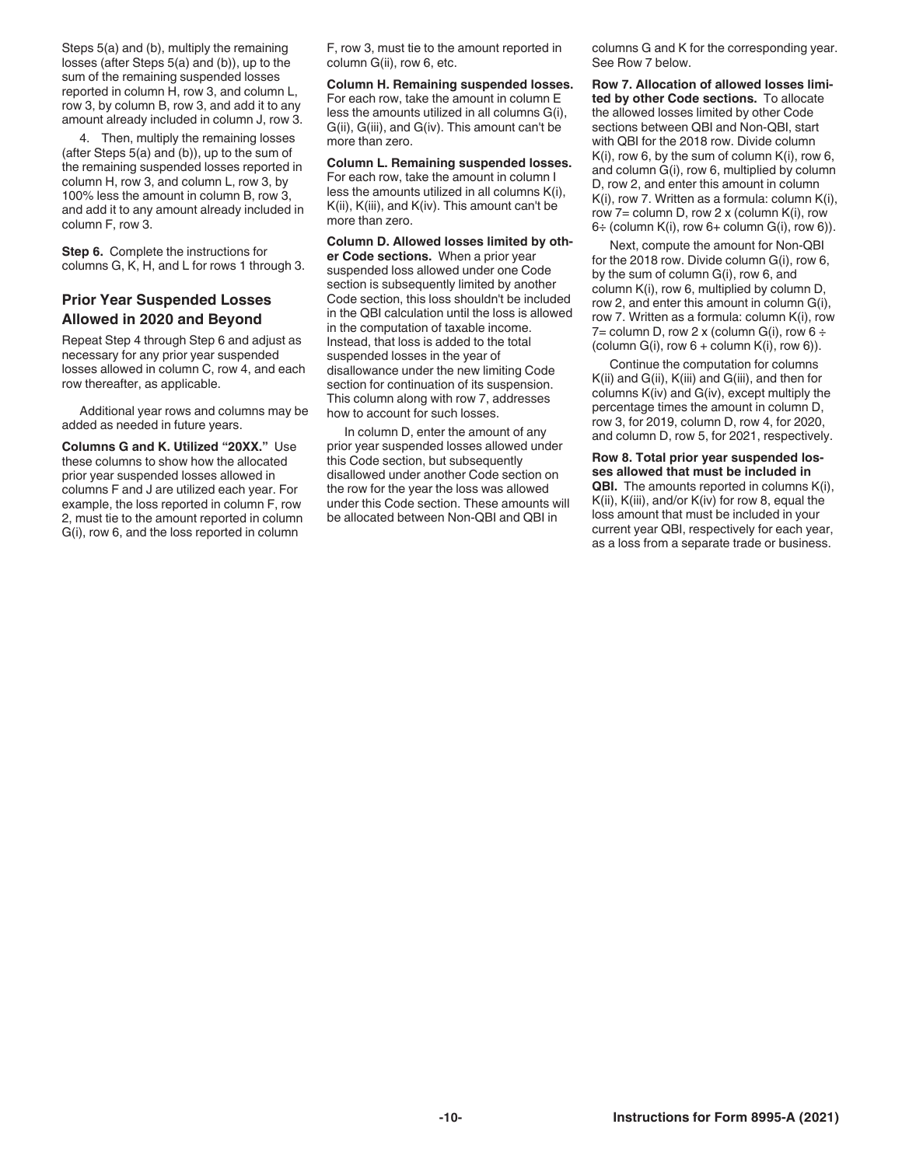Steps 5(a) and (b), multiply the remaining losses (after Steps 5(a) and (b)), up to the sum of the remaining suspended losses reported in column H, row 3, and column L, row 3, by column B, row 3, and add it to any amount already included in column J, row 3.

4. Then, multiply the remaining losses (after Steps 5(a) and (b)), up to the sum of the remaining suspended losses reported in column H, row 3, and column L, row 3, by 100% less the amount in column B, row 3, and add it to any amount already included in column F, row 3.

**Step 6.** Complete the instructions for columns G, K, H, and L for rows 1 through 3.

#### **Prior Year Suspended Losses Allowed in 2020 and Beyond**

Repeat Step 4 through Step 6 and adjust as necessary for any prior year suspended losses allowed in column C, row 4, and each row thereafter, as applicable.

Additional year rows and columns may be added as needed in future years.

**Columns G and K. Utilized "20XX."** Use these columns to show how the allocated prior year suspended losses allowed in columns F and J are utilized each year. For example, the loss reported in column F, row 2, must tie to the amount reported in column G(i), row 6, and the loss reported in column

F, row 3, must tie to the amount reported in column G(ii), row 6, etc.

**Column H. Remaining suspended losses.**  For each row, take the amount in column E less the amounts utilized in all columns G(i), G(ii), G(iii), and G(iv). This amount can't be more than zero.

**Column L. Remaining suspended losses.**  For each row, take the amount in column I less the amounts utilized in all columns K(i), K(ii), K(iii), and K(iv). This amount can't be more than zero.

**Column D. Allowed losses limited by other Code sections.** When a prior year suspended loss allowed under one Code section is subsequently limited by another Code section, this loss shouldn't be included in the QBI calculation until the loss is allowed in the computation of taxable income. Instead, that loss is added to the total suspended losses in the year of disallowance under the new limiting Code section for continuation of its suspension. This column along with row 7, addresses how to account for such losses.

In column D, enter the amount of any prior year suspended losses allowed under this Code section, but subsequently disallowed under another Code section on the row for the year the loss was allowed under this Code section. These amounts will be allocated between Non-QBI and QBI in

columns G and K for the corresponding year. See Row 7 below.

**Row 7. Allocation of allowed losses limited by other Code sections.** To allocate the allowed losses limited by other Code sections between QBI and Non-QBI, start with QBI for the 2018 row. Divide column K(i), row 6, by the sum of column K(i), row 6, and column G(i), row 6, multiplied by column D, row 2, and enter this amount in column K(i), row 7. Written as a formula: column K(i), row  $7=$  column D, row  $2 \times$  (column K(i), row  $6\div$  (column K(i), row  $6+$  column G(i), row 6)).

Next, compute the amount for Non-QBI for the 2018 row. Divide column G(i), row 6, by the sum of column G(i), row 6, and column K(i), row 6, multiplied by column D, row 2, and enter this amount in column G(i), row 7. Written as a formula: column K(i), row 7= column D, row 2 x (column G(i), row  $6 \div$ (column G(i), row  $6 +$  column K(i), row 6)).

Continue the computation for columns K(ii) and G(ii), K(iii) and G(iii), and then for columns K(iv) and G(iv), except multiply the percentage times the amount in column D, row 3, for 2019, column D, row 4, for 2020, and column D, row 5, for 2021, respectively.

**Row 8. Total prior year suspended losses allowed that must be included in QBI.** The amounts reported in columns K(i), K(ii), K(iii), and/or K(iv) for row 8, equal the loss amount that must be included in your current year QBI, respectively for each year, as a loss from a separate trade or business.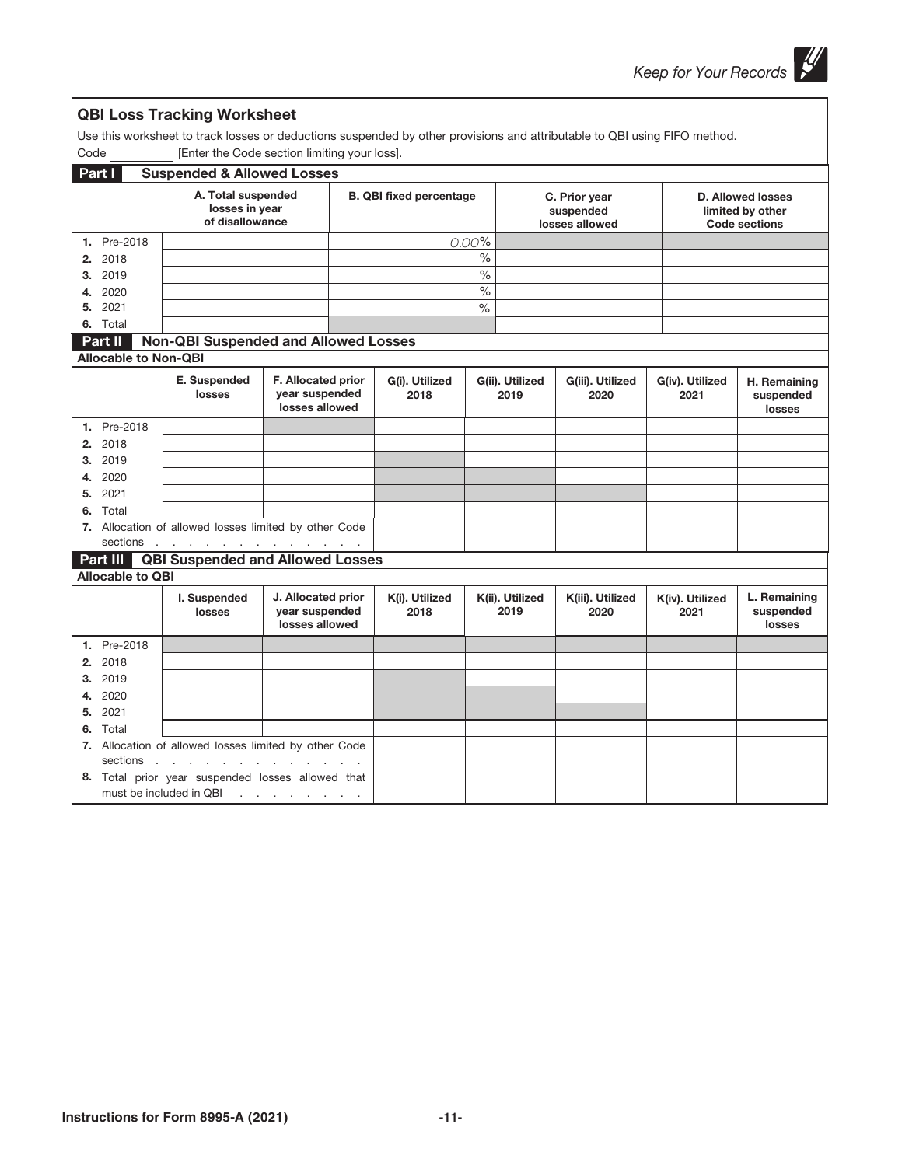٦

|                             | <b>QBI Loss Tracking Worksheet</b>                                                                                        |                                                        |                                |       |                                              |                          |                                                                      |                                     |
|-----------------------------|---------------------------------------------------------------------------------------------------------------------------|--------------------------------------------------------|--------------------------------|-------|----------------------------------------------|--------------------------|----------------------------------------------------------------------|-------------------------------------|
|                             | Use this worksheet to track losses or deductions suspended by other provisions and attributable to QBI using FIFO method. |                                                        |                                |       |                                              |                          |                                                                      |                                     |
| Code                        | [Enter the Code section limiting your loss].                                                                              |                                                        |                                |       |                                              |                          |                                                                      |                                     |
| Part I                      | <b>Suspended &amp; Allowed Losses</b>                                                                                     |                                                        |                                |       |                                              |                          |                                                                      |                                     |
|                             | A. Total suspended<br>losses in year<br>of disallowance                                                                   |                                                        | <b>B. QBI fixed percentage</b> |       | C. Prior year<br>suspended<br>losses allowed |                          | <b>D. Allowed losses</b><br>limited by other<br><b>Code sections</b> |                                     |
| 1. Pre-2018                 |                                                                                                                           |                                                        |                                | 0.00% |                                              |                          |                                                                      |                                     |
| 2. 2018                     |                                                                                                                           |                                                        |                                | $\%$  |                                              |                          |                                                                      |                                     |
| 3. 2019                     |                                                                                                                           |                                                        |                                | $\%$  |                                              |                          |                                                                      |                                     |
| 4. 2020                     |                                                                                                                           |                                                        |                                | $\%$  |                                              |                          |                                                                      |                                     |
| 5. 2021                     |                                                                                                                           |                                                        |                                | $\%$  |                                              |                          |                                                                      |                                     |
| 6. Total                    |                                                                                                                           |                                                        |                                |       |                                              |                          |                                                                      |                                     |
| Part II                     | <b>Non-QBI Suspended and Allowed Losses</b>                                                                               |                                                        |                                |       |                                              |                          |                                                                      |                                     |
| <b>Allocable to Non-QBI</b> |                                                                                                                           |                                                        |                                |       |                                              |                          |                                                                      |                                     |
|                             | E. Suspended<br>losses                                                                                                    | F. Allocated prior<br>year suspended<br>losses allowed | G(i). Utilized<br>2018         |       | G(ii). Utilized<br>2019                      | G(iii). Utilized<br>2020 | G(iv). Utilized<br>2021                                              | H. Remaining<br>suspended<br>losses |
| 1. Pre-2018                 |                                                                                                                           |                                                        |                                |       |                                              |                          |                                                                      |                                     |
| 2. 2018                     |                                                                                                                           |                                                        |                                |       |                                              |                          |                                                                      |                                     |
| 3. 2019                     |                                                                                                                           |                                                        |                                |       |                                              |                          |                                                                      |                                     |
| 4. 2020                     |                                                                                                                           |                                                        |                                |       |                                              |                          |                                                                      |                                     |
| 5. 2021                     |                                                                                                                           |                                                        |                                |       |                                              |                          |                                                                      |                                     |
| 6. Total                    |                                                                                                                           |                                                        |                                |       |                                              |                          |                                                                      |                                     |
|                             | 7. Allocation of allowed losses limited by other Code                                                                     |                                                        |                                |       |                                              |                          |                                                                      |                                     |
| sections                    | and a series of the contract of the                                                                                       |                                                        |                                |       |                                              |                          |                                                                      |                                     |
| Part III                    | <b>QBI Suspended and Allowed Losses</b>                                                                                   |                                                        |                                |       |                                              |                          |                                                                      |                                     |
| <b>Allocable to QBI</b>     |                                                                                                                           |                                                        |                                |       |                                              |                          |                                                                      |                                     |
|                             | I. Suspended<br>losses                                                                                                    | J. Allocated prior<br>year suspended<br>losses allowed | K(i). Utilized<br>2018         |       | K(ii). Utilized<br>2019                      | K(iii). Utilized<br>2020 | K(iv). Utilized<br>2021                                              | L. Remaining<br>suspended<br>losses |
| 1. Pre-2018                 |                                                                                                                           |                                                        |                                |       |                                              |                          |                                                                      |                                     |
| 2. 2018                     |                                                                                                                           |                                                        |                                |       |                                              |                          |                                                                      |                                     |
| 3. 2019                     |                                                                                                                           |                                                        |                                |       |                                              |                          |                                                                      |                                     |
| 4. 2020                     |                                                                                                                           |                                                        |                                |       |                                              |                          |                                                                      |                                     |
| 5. 2021                     |                                                                                                                           |                                                        |                                |       |                                              |                          |                                                                      |                                     |
| 6. Total                    |                                                                                                                           |                                                        |                                |       |                                              |                          |                                                                      |                                     |
|                             | 7. Allocation of allowed losses limited by other Code                                                                     |                                                        |                                |       |                                              |                          |                                                                      |                                     |
| sections                    | and a straight and a straight and                                                                                         |                                                        |                                |       |                                              |                          |                                                                      |                                     |
|                             | 8. Total prior year suspended losses allowed that<br>must be included in QBI                                              | and the contract of the con-                           |                                |       |                                              |                          |                                                                      |                                     |